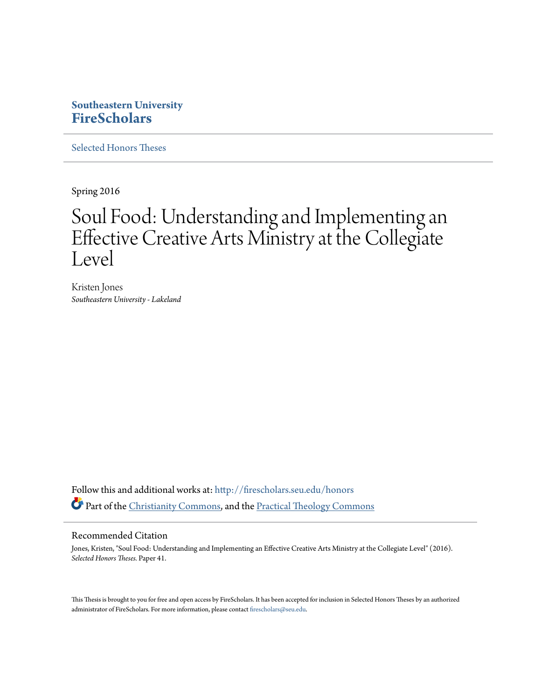# **Southeastern University [FireScholars](http://firescholars.seu.edu?utm_source=firescholars.seu.edu%2Fhonors%2F41&utm_medium=PDF&utm_campaign=PDFCoverPages)**

[Selected Honors Theses](http://firescholars.seu.edu/honors?utm_source=firescholars.seu.edu%2Fhonors%2F41&utm_medium=PDF&utm_campaign=PDFCoverPages)

Spring 2016

# Soul Food: Understanding and Implementing an Effective Creative Arts Ministry at the Collegiate Level

Kristen Jones *Southeastern University - Lakeland*

Follow this and additional works at: [http://firescholars.seu.edu/honors](http://firescholars.seu.edu/honors?utm_source=firescholars.seu.edu%2Fhonors%2F41&utm_medium=PDF&utm_campaign=PDFCoverPages) Part of the [Christianity Commons,](http://network.bepress.com/hgg/discipline/1181?utm_source=firescholars.seu.edu%2Fhonors%2F41&utm_medium=PDF&utm_campaign=PDFCoverPages) and the [Practical Theology Commons](http://network.bepress.com/hgg/discipline/1186?utm_source=firescholars.seu.edu%2Fhonors%2F41&utm_medium=PDF&utm_campaign=PDFCoverPages)

#### Recommended Citation

Jones, Kristen, "Soul Food: Understanding and Implementing an Effective Creative Arts Ministry at the Collegiate Level" (2016). *Selected Honors Theses.* Paper 41.

This Thesis is brought to you for free and open access by FireScholars. It has been accepted for inclusion in Selected Honors Theses by an authorized administrator of FireScholars. For more information, please contact [firescholars@seu.edu](mailto:firescholars@seu.edu).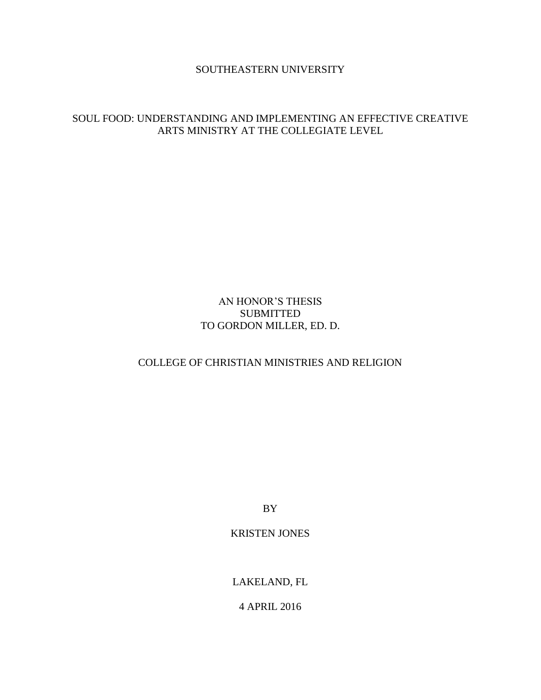#### SOUTHEASTERN UNIVERSITY

### SOUL FOOD: UNDERSTANDING AND IMPLEMENTING AN EFFECTIVE CREATIVE ARTS MINISTRY AT THE COLLEGIATE LEVEL

## AN HONOR'S THESIS **SUBMITTED** TO GORDON MILLER, ED. D.

#### COLLEGE OF CHRISTIAN MINISTRIES AND RELIGION

BY

#### KRISTEN JONES

LAKELAND, FL

4 APRIL 2016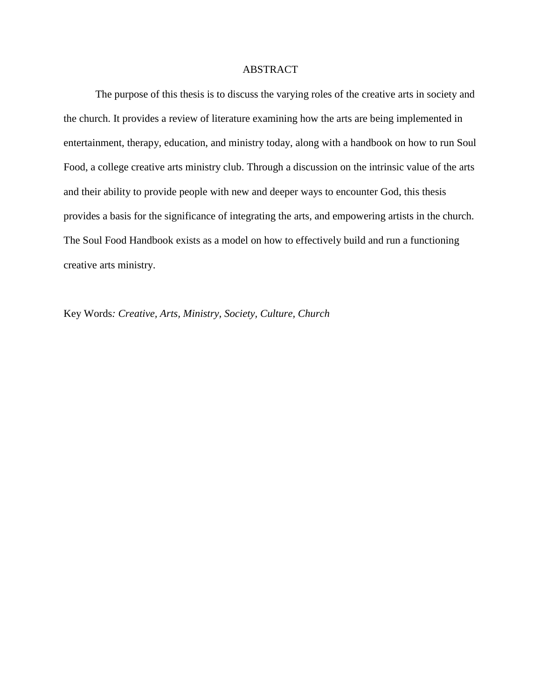#### ABSTRACT

The purpose of this thesis is to discuss the varying roles of the creative arts in society and the church. It provides a review of literature examining how the arts are being implemented in entertainment, therapy, education, and ministry today, along with a handbook on how to run Soul Food, a college creative arts ministry club. Through a discussion on the intrinsic value of the arts and their ability to provide people with new and deeper ways to encounter God, this thesis provides a basis for the significance of integrating the arts, and empowering artists in the church. The Soul Food Handbook exists as a model on how to effectively build and run a functioning creative arts ministry.

Key Words*: Creative, Arts, Ministry, Society, Culture, Church*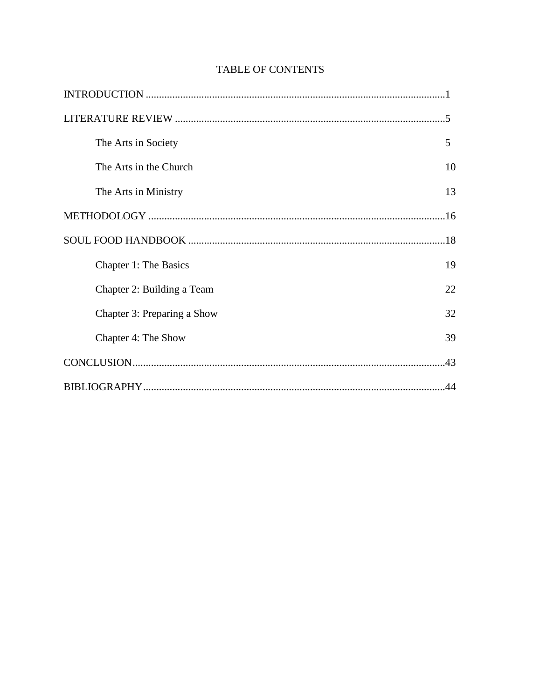| The Arts in Society         | 5  |
|-----------------------------|----|
| The Arts in the Church      | 10 |
| The Arts in Ministry        | 13 |
|                             |    |
|                             |    |
| Chapter 1: The Basics       | 19 |
| Chapter 2: Building a Team  | 22 |
| Chapter 3: Preparing a Show | 32 |
| Chapter 4: The Show         | 39 |
|                             |    |
|                             |    |

# **TABLE OF CONTENTS**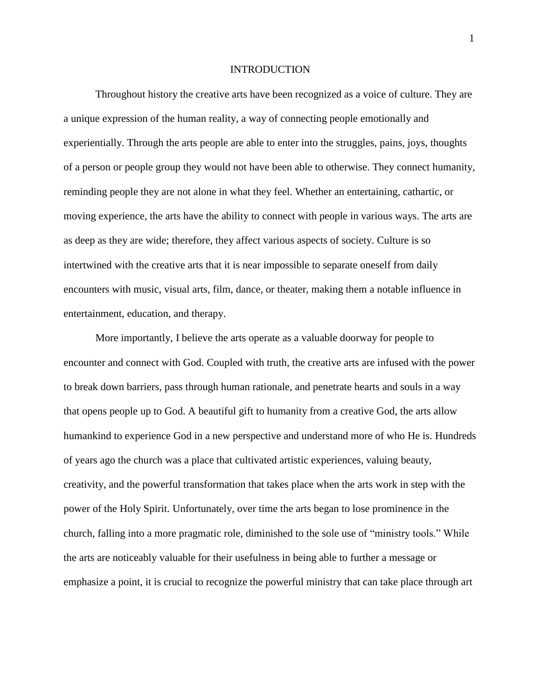#### INTRODUCTION

Throughout history the creative arts have been recognized as a voice of culture. They are a unique expression of the human reality, a way of connecting people emotionally and experientially. Through the arts people are able to enter into the struggles, pains, joys, thoughts of a person or people group they would not have been able to otherwise. They connect humanity, reminding people they are not alone in what they feel. Whether an entertaining, cathartic, or moving experience, the arts have the ability to connect with people in various ways. The arts are as deep as they are wide; therefore, they affect various aspects of society. Culture is so intertwined with the creative arts that it is near impossible to separate oneself from daily encounters with music, visual arts, film, dance, or theater, making them a notable influence in entertainment, education, and therapy.

More importantly, I believe the arts operate as a valuable doorway for people to encounter and connect with God. Coupled with truth, the creative arts are infused with the power to break down barriers, pass through human rationale, and penetrate hearts and souls in a way that opens people up to God. A beautiful gift to humanity from a creative God, the arts allow humankind to experience God in a new perspective and understand more of who He is. Hundreds of years ago the church was a place that cultivated artistic experiences, valuing beauty, creativity, and the powerful transformation that takes place when the arts work in step with the power of the Holy Spirit. Unfortunately, over time the arts began to lose prominence in the church, falling into a more pragmatic role, diminished to the sole use of "ministry tools." While the arts are noticeably valuable for their usefulness in being able to further a message or emphasize a point, it is crucial to recognize the powerful ministry that can take place through art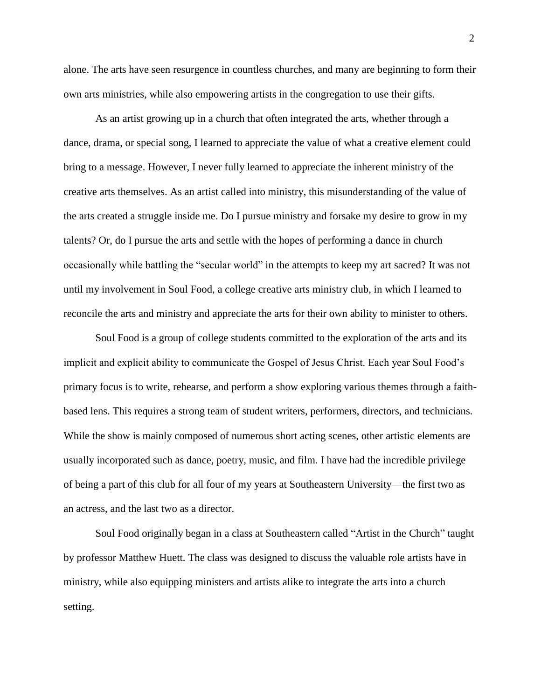alone. The arts have seen resurgence in countless churches, and many are beginning to form their own arts ministries, while also empowering artists in the congregation to use their gifts.

As an artist growing up in a church that often integrated the arts, whether through a dance, drama, or special song, I learned to appreciate the value of what a creative element could bring to a message. However, I never fully learned to appreciate the inherent ministry of the creative arts themselves. As an artist called into ministry, this misunderstanding of the value of the arts created a struggle inside me. Do I pursue ministry and forsake my desire to grow in my talents? Or, do I pursue the arts and settle with the hopes of performing a dance in church occasionally while battling the "secular world" in the attempts to keep my art sacred? It was not until my involvement in Soul Food, a college creative arts ministry club, in which I learned to reconcile the arts and ministry and appreciate the arts for their own ability to minister to others.

Soul Food is a group of college students committed to the exploration of the arts and its implicit and explicit ability to communicate the Gospel of Jesus Christ. Each year Soul Food's primary focus is to write, rehearse, and perform a show exploring various themes through a faithbased lens. This requires a strong team of student writers, performers, directors, and technicians. While the show is mainly composed of numerous short acting scenes, other artistic elements are usually incorporated such as dance, poetry, music, and film. I have had the incredible privilege of being a part of this club for all four of my years at Southeastern University—the first two as an actress, and the last two as a director.

Soul Food originally began in a class at Southeastern called "Artist in the Church" taught by professor Matthew Huett. The class was designed to discuss the valuable role artists have in ministry, while also equipping ministers and artists alike to integrate the arts into a church setting.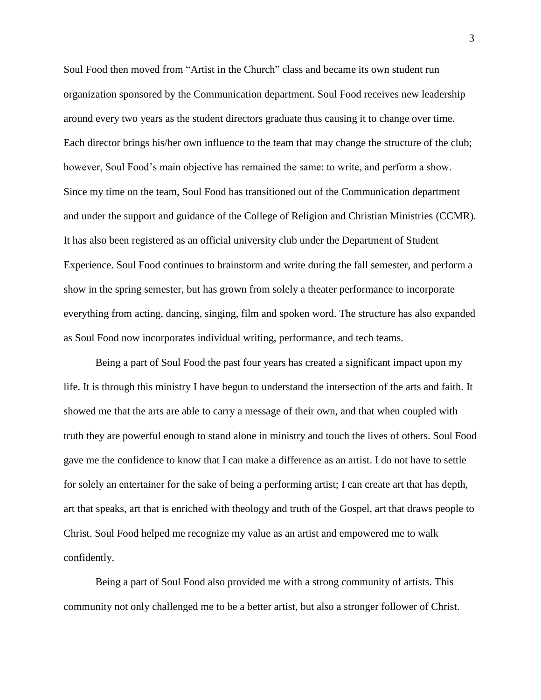Soul Food then moved from "Artist in the Church" class and became its own student run organization sponsored by the Communication department. Soul Food receives new leadership around every two years as the student directors graduate thus causing it to change over time. Each director brings his/her own influence to the team that may change the structure of the club; however, Soul Food's main objective has remained the same: to write, and perform a show. Since my time on the team, Soul Food has transitioned out of the Communication department and under the support and guidance of the College of Religion and Christian Ministries (CCMR). It has also been registered as an official university club under the Department of Student Experience. Soul Food continues to brainstorm and write during the fall semester, and perform a show in the spring semester, but has grown from solely a theater performance to incorporate everything from acting, dancing, singing, film and spoken word. The structure has also expanded as Soul Food now incorporates individual writing, performance, and tech teams.

Being a part of Soul Food the past four years has created a significant impact upon my life. It is through this ministry I have begun to understand the intersection of the arts and faith. It showed me that the arts are able to carry a message of their own, and that when coupled with truth they are powerful enough to stand alone in ministry and touch the lives of others. Soul Food gave me the confidence to know that I can make a difference as an artist. I do not have to settle for solely an entertainer for the sake of being a performing artist; I can create art that has depth, art that speaks, art that is enriched with theology and truth of the Gospel, art that draws people to Christ. Soul Food helped me recognize my value as an artist and empowered me to walk confidently.

Being a part of Soul Food also provided me with a strong community of artists. This community not only challenged me to be a better artist, but also a stronger follower of Christ.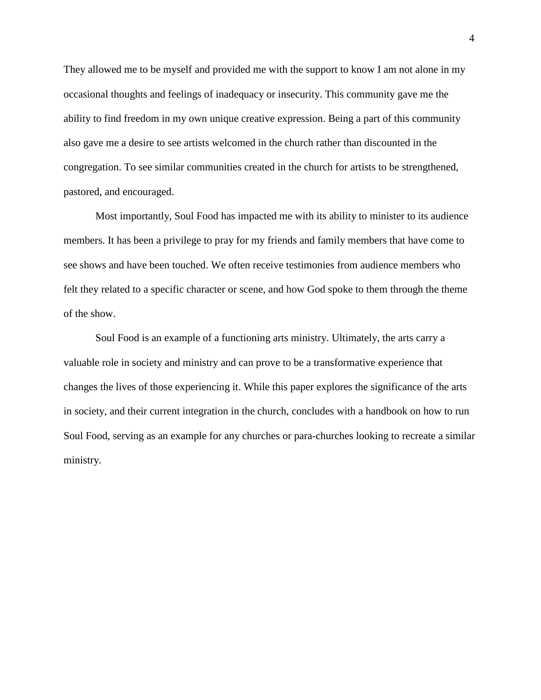They allowed me to be myself and provided me with the support to know I am not alone in my occasional thoughts and feelings of inadequacy or insecurity. This community gave me the ability to find freedom in my own unique creative expression. Being a part of this community also gave me a desire to see artists welcomed in the church rather than discounted in the congregation. To see similar communities created in the church for artists to be strengthened, pastored, and encouraged.

Most importantly, Soul Food has impacted me with its ability to minister to its audience members. It has been a privilege to pray for my friends and family members that have come to see shows and have been touched. We often receive testimonies from audience members who felt they related to a specific character or scene, and how God spoke to them through the theme of the show.

Soul Food is an example of a functioning arts ministry. Ultimately, the arts carry a valuable role in society and ministry and can prove to be a transformative experience that changes the lives of those experiencing it. While this paper explores the significance of the arts in society, and their current integration in the church, concludes with a handbook on how to run Soul Food, serving as an example for any churches or para-churches looking to recreate a similar ministry.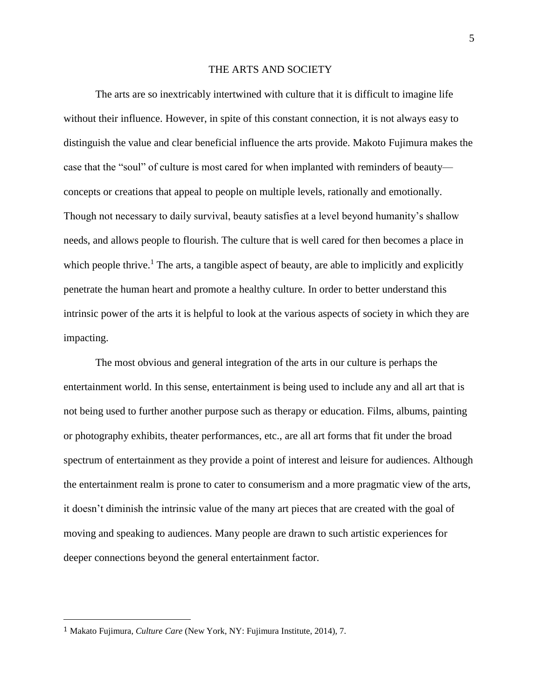#### THE ARTS AND SOCIETY

The arts are so inextricably intertwined with culture that it is difficult to imagine life without their influence. However, in spite of this constant connection, it is not always easy to distinguish the value and clear beneficial influence the arts provide. Makoto Fujimura makes the case that the "soul" of culture is most cared for when implanted with reminders of beauty concepts or creations that appeal to people on multiple levels, rationally and emotionally. Though not necessary to daily survival, beauty satisfies at a level beyond humanity's shallow needs, and allows people to flourish. The culture that is well cared for then becomes a place in which people thrive.<sup>1</sup> The arts, a tangible aspect of beauty, are able to implicitly and explicitly penetrate the human heart and promote a healthy culture. In order to better understand this intrinsic power of the arts it is helpful to look at the various aspects of society in which they are impacting.

The most obvious and general integration of the arts in our culture is perhaps the entertainment world. In this sense, entertainment is being used to include any and all art that is not being used to further another purpose such as therapy or education. Films, albums, painting or photography exhibits, theater performances, etc., are all art forms that fit under the broad spectrum of entertainment as they provide a point of interest and leisure for audiences. Although the entertainment realm is prone to cater to consumerism and a more pragmatic view of the arts, it doesn't diminish the intrinsic value of the many art pieces that are created with the goal of moving and speaking to audiences. Many people are drawn to such artistic experiences for deeper connections beyond the general entertainment factor.

l

<sup>1</sup> Makato Fujimura, *Culture Care* (New York, NY: Fujimura Institute, 2014), 7.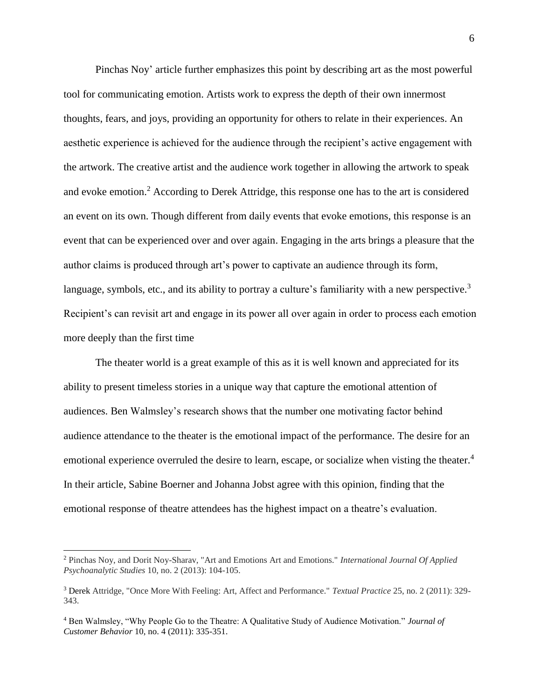Pinchas Noy' article further emphasizes this point by describing art as the most powerful tool for communicating emotion. Artists work to express the depth of their own innermost thoughts, fears, and joys, providing an opportunity for others to relate in their experiences. An aesthetic experience is achieved for the audience through the recipient's active engagement with the artwork. The creative artist and the audience work together in allowing the artwork to speak and evoke emotion.<sup>2</sup> According to Derek Attridge, this response one has to the art is considered an event on its own. Though different from daily events that evoke emotions, this response is an event that can be experienced over and over again. Engaging in the arts brings a pleasure that the author claims is produced through art's power to captivate an audience through its form, language, symbols, etc., and its ability to portray a culture's familiarity with a new perspective.<sup>3</sup> Recipient's can revisit art and engage in its power all over again in order to process each emotion more deeply than the first time

The theater world is a great example of this as it is well known and appreciated for its ability to present timeless stories in a unique way that capture the emotional attention of audiences. Ben Walmsley's research shows that the number one motivating factor behind audience attendance to the theater is the emotional impact of the performance. The desire for an emotional experience overruled the desire to learn, escape, or socialize when visting the theater.<sup>4</sup> In their article, Sabine Boerner and Johanna Jobst agree with this opinion, finding that the emotional response of theatre attendees has the highest impact on a theatre's evaluation.

l

<sup>2</sup> Pinchas Noy, and Dorit Noy-Sharav, "Art and Emotions Art and Emotions." *International Journal Of Applied Psychoanalytic Studies* 10, no. 2 (2013): 104-105.

<sup>3</sup> Derek Attridge, "Once More With Feeling: Art, Affect and Performance." *Textual Practice* 25, no. 2 (2011): 329- 343.

<sup>4</sup> Ben Walmsley, "Why People Go to the Theatre: A Qualitative Study of Audience Motivation." *Journal of Customer Behavior* 10, no. 4 (2011): 335-351.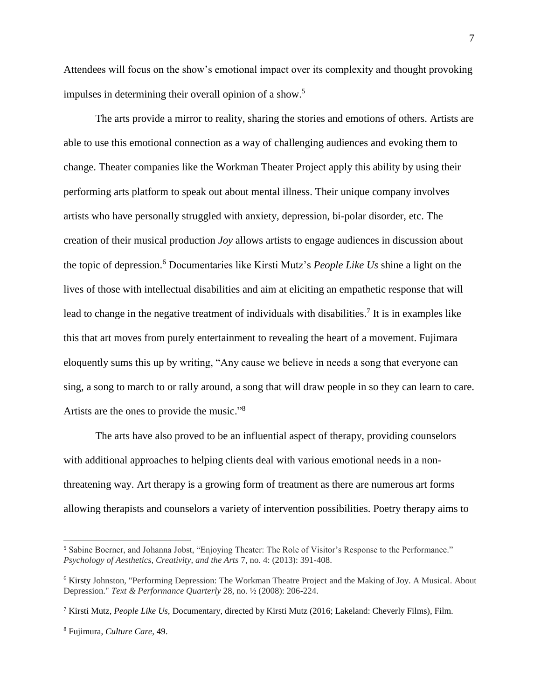Attendees will focus on the show's emotional impact over its complexity and thought provoking impulses in determining their overall opinion of a show.<sup>5</sup>

The arts provide a mirror to reality, sharing the stories and emotions of others. Artists are able to use this emotional connection as a way of challenging audiences and evoking them to change. Theater companies like the Workman Theater Project apply this ability by using their performing arts platform to speak out about mental illness. Their unique company involves artists who have personally struggled with anxiety, depression, bi-polar disorder, etc. The creation of their musical production *Joy* allows artists to engage audiences in discussion about the topic of depression.<sup>6</sup> Documentaries like Kirsti Mutz's *People Like Us* shine a light on the lives of those with intellectual disabilities and aim at eliciting an empathetic response that will lead to change in the negative treatment of individuals with disabilities.<sup>7</sup> It is in examples like this that art moves from purely entertainment to revealing the heart of a movement. Fujimara eloquently sums this up by writing, "Any cause we believe in needs a song that everyone can sing, a song to march to or rally around, a song that will draw people in so they can learn to care. Artists are the ones to provide the music." 8

The arts have also proved to be an influential aspect of therapy, providing counselors with additional approaches to helping clients deal with various emotional needs in a nonthreatening way. Art therapy is a growing form of treatment as there are numerous art forms allowing therapists and counselors a variety of intervention possibilities. Poetry therapy aims to

 $\overline{a}$ 

<sup>5</sup> Sabine Boerner, and Johanna Jobst, "Enjoying Theater: The Role of Visitor's Response to the Performance." *Psychology of Aesthetics, Creativity, and the Arts* 7, no. 4: (2013): 391-408.

<sup>6</sup> Kirsty Johnston, "Performing Depression: The Workman Theatre Project and the Making of Joy. A Musical. About Depression." *Text & Performance Quarterly* 28, no. ½ (2008): 206-224.

<sup>7</sup> Kirsti Mutz, *People Like Us,* Documentary, directed by Kirsti Mutz (2016; Lakeland: Cheverly Films), Film.

<sup>8</sup> Fujimura, *Culture Care,* 49.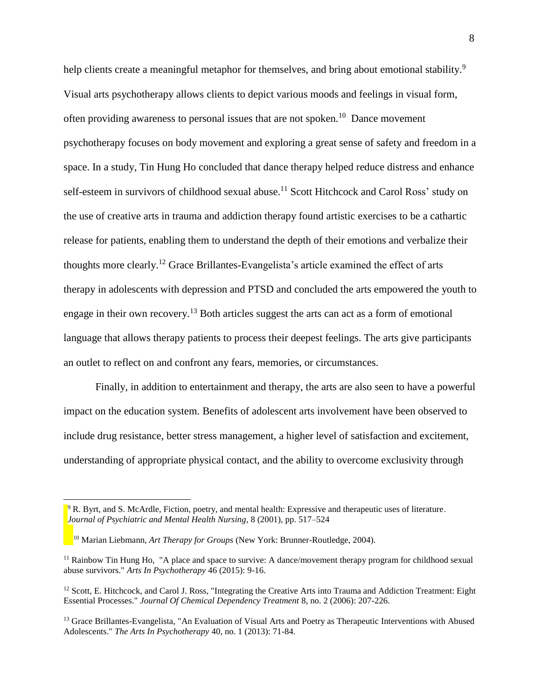help clients create a meaningful metaphor for themselves, and bring about emotional stability.<sup>9</sup> Visual arts psychotherapy allows clients to depict various moods and feelings in visual form, often providing awareness to personal issues that are not spoken.<sup>10</sup> Dance movement psychotherapy focuses on body movement and exploring a great sense of safety and freedom in a space. In a study, Tin Hung Ho concluded that dance therapy helped reduce distress and enhance self-esteem in survivors of childhood sexual abuse.<sup>11</sup> Scott Hitchcock and Carol Ross' study on the use of creative arts in trauma and addiction therapy found artistic exercises to be a cathartic release for patients, enabling them to understand the depth of their emotions and verbalize their thoughts more clearly.<sup>12</sup> Grace Brillantes-Evangelista's article examined the effect of arts therapy in adolescents with depression and PTSD and concluded the arts empowered the youth to engage in their own recovery.<sup>13</sup> Both articles suggest the arts can act as a form of emotional language that allows therapy patients to process their deepest feelings. The arts give participants an outlet to reflect on and confront any fears, memories, or circumstances.

Finally, in addition to entertainment and therapy, the arts are also seen to have a powerful impact on the education system. Benefits of adolescent arts involvement have been observed to include drug resistance, better stress management, a higher level of satisfaction and excitement, understanding of appropriate physical contact, and the ability to overcome exclusivity through

 $\overline{a}$ 

<sup>&</sup>lt;sup>9</sup> R. Byrt, and S. McArdle, Fiction, poetry, and mental health: Expressive and therapeutic uses of literature. *Journal of Psychiatric and Mental Health Nursing*, 8 (2001), pp. 517–524

<sup>10</sup> Marian Liebmann, *Art Therapy for Groups* (New York: Brunner-Routledge, 2004).

<sup>&</sup>lt;sup>11</sup> Rainbow Tin Hung Ho, "A place and space to survive: A dance/movement therapy program for childhood sexual abuse survivors." *Arts In Psychotherapy* 46 (2015): 9-16.

 $12$  Scott, E. Hitchcock, and Carol J. Ross, "Integrating the Creative Arts into Trauma and Addiction Treatment: Eight Essential Processes." *Journal Of Chemical Dependency Treatment* 8, no. 2 (2006): 207-226.

<sup>&</sup>lt;sup>13</sup> Grace Brillantes-Evangelista, "An Evaluation of Visual Arts and Poetry as Therapeutic Interventions with Abused Adolescents." *The Arts In Psychotherapy* 40, no. 1 (2013): 71-84.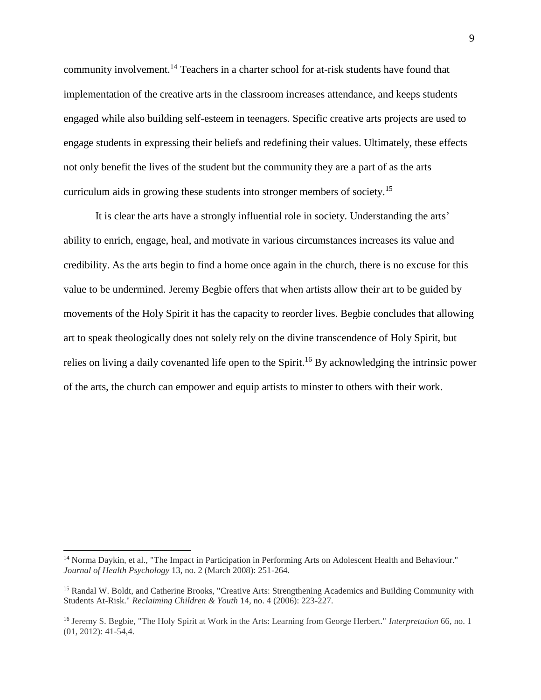community involvement.<sup>14</sup> Teachers in a charter school for at-risk students have found that implementation of the creative arts in the classroom increases attendance, and keeps students engaged while also building self-esteem in teenagers. Specific creative arts projects are used to engage students in expressing their beliefs and redefining their values. Ultimately, these effects not only benefit the lives of the student but the community they are a part of as the arts curriculum aids in growing these students into stronger members of society.<sup>15</sup>

It is clear the arts have a strongly influential role in society. Understanding the arts' ability to enrich, engage, heal, and motivate in various circumstances increases its value and credibility. As the arts begin to find a home once again in the church, there is no excuse for this value to be undermined. Jeremy Begbie offers that when artists allow their art to be guided by movements of the Holy Spirit it has the capacity to reorder lives. Begbie concludes that allowing art to speak theologically does not solely rely on the divine transcendence of Holy Spirit, but relies on living a daily covenanted life open to the Spirit.<sup>16</sup> By acknowledging the intrinsic power of the arts, the church can empower and equip artists to minster to others with their work.

l

<sup>&</sup>lt;sup>14</sup> Norma Daykin, et al., "The Impact in Participation in Performing Arts on Adolescent Health and Behaviour." *Journal of Health Psychology* 13, no. 2 (March 2008): 251-264.

<sup>15</sup> Randal W. Boldt, and Catherine Brooks, "Creative Arts: Strengthening Academics and Building Community with Students At-Risk." *Reclaiming Children & Youth* 14, no. 4 (2006): 223-227.

<sup>16</sup> Jeremy S. Begbie, "The Holy Spirit at Work in the Arts: Learning from George Herbert." *Interpretation* 66, no. 1 (01, 2012): 41-54,4.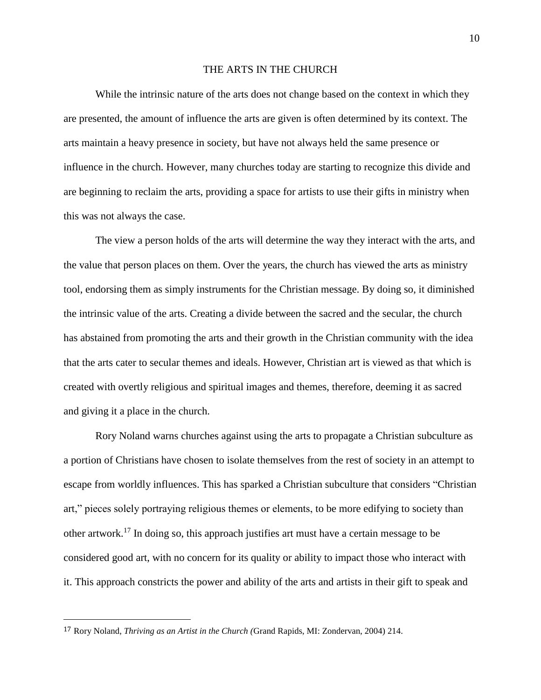#### THE ARTS IN THE CHURCH

While the intrinsic nature of the arts does not change based on the context in which they are presented, the amount of influence the arts are given is often determined by its context. The arts maintain a heavy presence in society, but have not always held the same presence or influence in the church. However, many churches today are starting to recognize this divide and are beginning to reclaim the arts, providing a space for artists to use their gifts in ministry when this was not always the case.

The view a person holds of the arts will determine the way they interact with the arts, and the value that person places on them. Over the years, the church has viewed the arts as ministry tool, endorsing them as simply instruments for the Christian message. By doing so, it diminished the intrinsic value of the arts. Creating a divide between the sacred and the secular, the church has abstained from promoting the arts and their growth in the Christian community with the idea that the arts cater to secular themes and ideals. However, Christian art is viewed as that which is created with overtly religious and spiritual images and themes, therefore, deeming it as sacred and giving it a place in the church.

Rory Noland warns churches against using the arts to propagate a Christian subculture as a portion of Christians have chosen to isolate themselves from the rest of society in an attempt to escape from worldly influences. This has sparked a Christian subculture that considers "Christian art," pieces solely portraying religious themes or elements, to be more edifying to society than other artwork. <sup>17</sup> In doing so, this approach justifies art must have a certain message to be considered good art, with no concern for its quality or ability to impact those who interact with it. This approach constricts the power and ability of the arts and artists in their gift to speak and

l

<sup>17</sup> Rory Noland, *Thriving as an Artist in the Church (*Grand Rapids, MI: Zondervan, 2004) 214.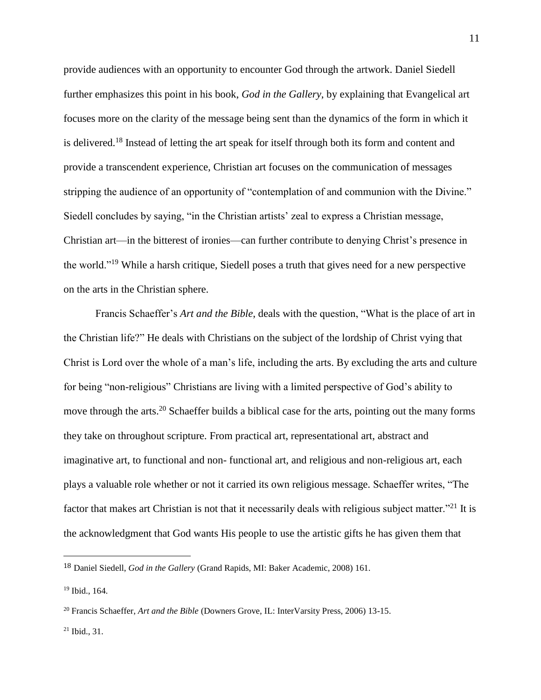provide audiences with an opportunity to encounter God through the artwork. Daniel Siedell further emphasizes this point in his book, *God in the Gallery*, by explaining that Evangelical art focuses more on the clarity of the message being sent than the dynamics of the form in which it is delivered.<sup>18</sup> Instead of letting the art speak for itself through both its form and content and provide a transcendent experience, Christian art focuses on the communication of messages stripping the audience of an opportunity of "contemplation of and communion with the Divine." Siedell concludes by saying, "in the Christian artists' zeal to express a Christian message, Christian art—in the bitterest of ironies—can further contribute to denying Christ's presence in the world."<sup>19</sup> While a harsh critique, Siedell poses a truth that gives need for a new perspective on the arts in the Christian sphere.

Francis Schaeffer's *Art and the Bible*, deals with the question, "What is the place of art in the Christian life?" He deals with Christians on the subject of the lordship of Christ vying that Christ is Lord over the whole of a man's life, including the arts. By excluding the arts and culture for being "non-religious" Christians are living with a limited perspective of God's ability to move through the arts.<sup>20</sup> Schaeffer builds a biblical case for the arts, pointing out the many forms they take on throughout scripture. From practical art, representational art, abstract and imaginative art, to functional and non- functional art, and religious and non-religious art, each plays a valuable role whether or not it carried its own religious message. Schaeffer writes, "The factor that makes art Christian is not that it necessarily deals with religious subject matter."<sup>21</sup> It is the acknowledgment that God wants His people to use the artistic gifts he has given them that

l

 $21$  Ibid., 31.

<sup>18</sup> Daniel Siedell, *God in the Gallery* (Grand Rapids, MI: Baker Academic, 2008) 161.

<sup>19</sup> Ibid., 164.

<sup>20</sup> Francis Schaeffer, *Art and the Bible* (Downers Grove, IL: InterVarsity Press, 2006) 13-15.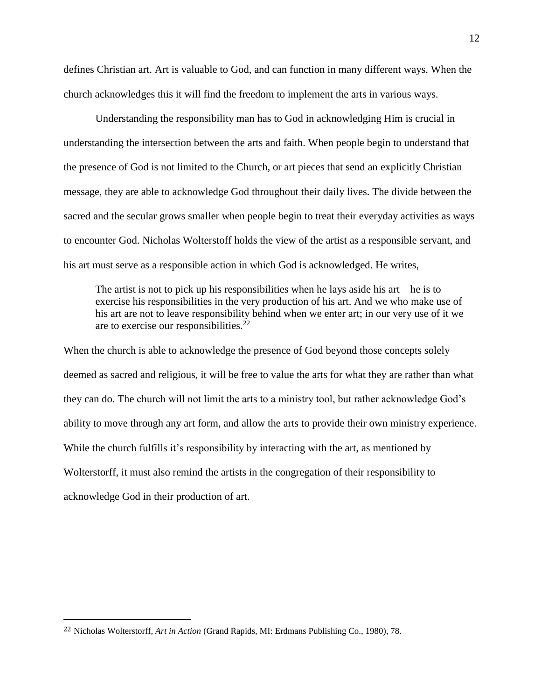defines Christian art. Art is valuable to God, and can function in many different ways. When the church acknowledges this it will find the freedom to implement the arts in various ways.

Understanding the responsibility man has to God in acknowledging Him is crucial in understanding the intersection between the arts and faith. When people begin to understand that the presence of God is not limited to the Church, or art pieces that send an explicitly Christian message, they are able to acknowledge God throughout their daily lives. The divide between the sacred and the secular grows smaller when people begin to treat their everyday activities as ways to encounter God. Nicholas Wolterstoff holds the view of the artist as a responsible servant, and his art must serve as a responsible action in which God is acknowledged. He writes,

The artist is not to pick up his responsibilities when he lays aside his art—he is to exercise his responsibilities in the very production of his art. And we who make use of his art are not to leave responsibility behind when we enter art; in our very use of it we are to exercise our responsibilities.<sup>22</sup>

When the church is able to acknowledge the presence of God beyond those concepts solely deemed as sacred and religious, it will be free to value the arts for what they are rather than what they can do. The church will not limit the arts to a ministry tool, but rather acknowledge God's ability to move through any art form, and allow the arts to provide their own ministry experience. While the church fulfills it's responsibility by interacting with the art, as mentioned by Wolterstorff, it must also remind the artists in the congregation of their responsibility to acknowledge God in their production of art.

l

<sup>22</sup> Nicholas Wolterstorff, *Art in Action* (Grand Rapids, MI: Erdmans Publishing Co., 1980), 78.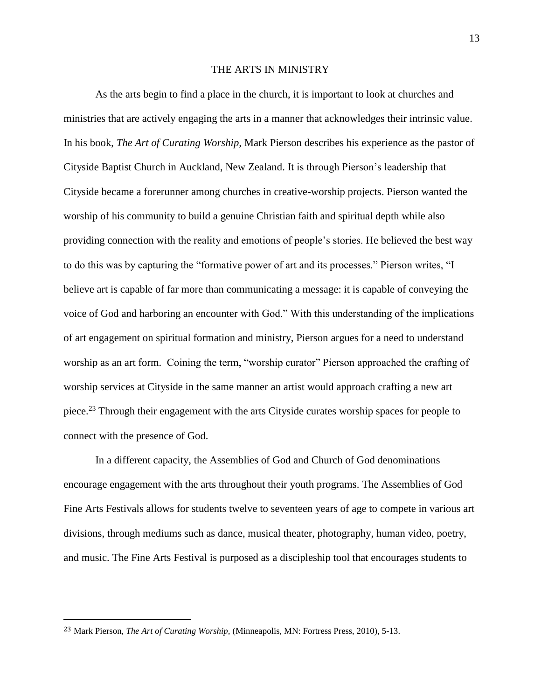#### THE ARTS IN MINISTRY

As the arts begin to find a place in the church, it is important to look at churches and ministries that are actively engaging the arts in a manner that acknowledges their intrinsic value. In his book, *The Art of Curating Worship,* Mark Pierson describes his experience as the pastor of Cityside Baptist Church in Auckland, New Zealand. It is through Pierson's leadership that Cityside became a forerunner among churches in creative-worship projects. Pierson wanted the worship of his community to build a genuine Christian faith and spiritual depth while also providing connection with the reality and emotions of people's stories. He believed the best way to do this was by capturing the "formative power of art and its processes." Pierson writes, "I believe art is capable of far more than communicating a message: it is capable of conveying the voice of God and harboring an encounter with God." With this understanding of the implications of art engagement on spiritual formation and ministry, Pierson argues for a need to understand worship as an art form. Coining the term, "worship curator" Pierson approached the crafting of worship services at Cityside in the same manner an artist would approach crafting a new art piece.<sup>23</sup> Through their engagement with the arts Cityside curates worship spaces for people to connect with the presence of God.

In a different capacity, the Assemblies of God and Church of God denominations encourage engagement with the arts throughout their youth programs. The Assemblies of God Fine Arts Festivals allows for students twelve to seventeen years of age to compete in various art divisions, through mediums such as dance, musical theater, photography, human video, poetry, and music. The Fine Arts Festival is purposed as a discipleship tool that encourages students to

l

<sup>23</sup> Mark Pierson, *The Art of Curating Worship,* (Minneapolis, MN: Fortress Press, 2010), 5-13.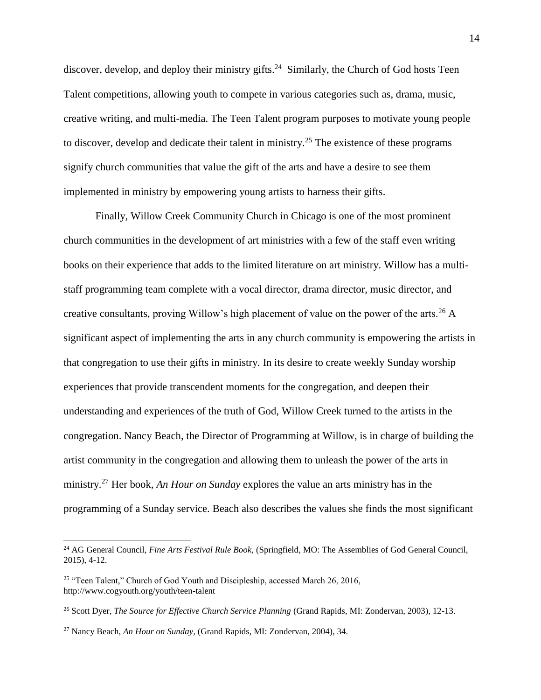discover, develop, and deploy their ministry gifts.<sup>24</sup> Similarly, the Church of God hosts Teen Talent competitions, allowing youth to compete in various categories such as, drama, music, creative writing, and multi-media. The Teen Talent program purposes to motivate young people to discover, develop and dedicate their talent in ministry.<sup>25</sup> The existence of these programs signify church communities that value the gift of the arts and have a desire to see them implemented in ministry by empowering young artists to harness their gifts.

Finally, Willow Creek Community Church in Chicago is one of the most prominent church communities in the development of art ministries with a few of the staff even writing books on their experience that adds to the limited literature on art ministry. Willow has a multistaff programming team complete with a vocal director, drama director, music director, and creative consultants, proving Willow's high placement of value on the power of the arts.<sup>26</sup> A significant aspect of implementing the arts in any church community is empowering the artists in that congregation to use their gifts in ministry. In its desire to create weekly Sunday worship experiences that provide transcendent moments for the congregation, and deepen their understanding and experiences of the truth of God, Willow Creek turned to the artists in the congregation. Nancy Beach, the Director of Programming at Willow, is in charge of building the artist community in the congregation and allowing them to unleash the power of the arts in ministry.<sup>27</sup> Her book, *An Hour on Sunday* explores the value an arts ministry has in the programming of a Sunday service. Beach also describes the values she finds the most significant

 $\overline{a}$ 

<sup>24</sup> AG General Council, *Fine Arts Festival Rule Book,* (Springfield, MO: The Assemblies of God General Council, 2015), 4-12.

<sup>&</sup>lt;sup>25</sup> "Teen Talent," Church of God Youth and Discipleship, accessed March 26, 2016, http://www.cogyouth.org/youth/teen-talent

<sup>&</sup>lt;sup>26</sup> Scott Dyer, *The Source for Effective Church Service Planning* (Grand Rapids, MI: Zondervan, 2003), 12-13.

<sup>27</sup> Nancy Beach, *An Hour on Sunday,* (Grand Rapids, MI: Zondervan, 2004), 34.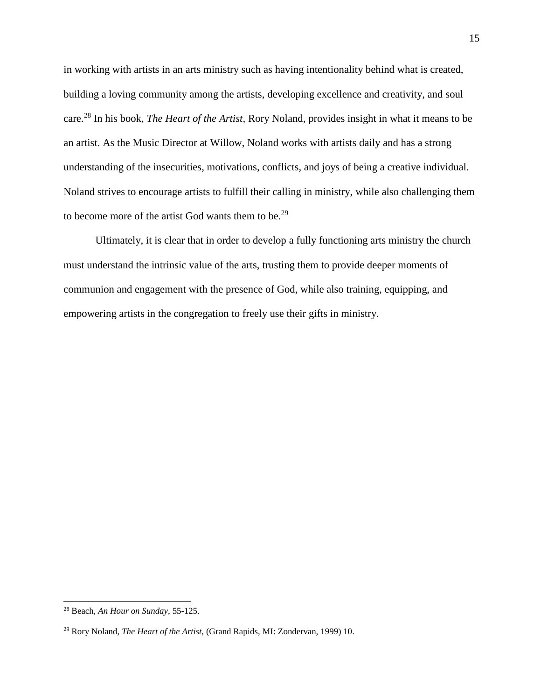in working with artists in an arts ministry such as having intentionality behind what is created, building a loving community among the artists, developing excellence and creativity, and soul care. <sup>28</sup> In his book, *The Heart of the Artist,* Rory Noland, provides insight in what it means to be an artist. As the Music Director at Willow, Noland works with artists daily and has a strong understanding of the insecurities, motivations, conflicts, and joys of being a creative individual. Noland strives to encourage artists to fulfill their calling in ministry, while also challenging them to become more of the artist God wants them to be.<sup>29</sup>

Ultimately, it is clear that in order to develop a fully functioning arts ministry the church must understand the intrinsic value of the arts, trusting them to provide deeper moments of communion and engagement with the presence of God, while also training, equipping, and empowering artists in the congregation to freely use their gifts in ministry.

 $\overline{a}$ 

<sup>28</sup> Beach, *An Hour on Sunday,* 55-125.

<sup>29</sup> Rory Noland, *The Heart of the Artist,* (Grand Rapids, MI: Zondervan, 1999) 10.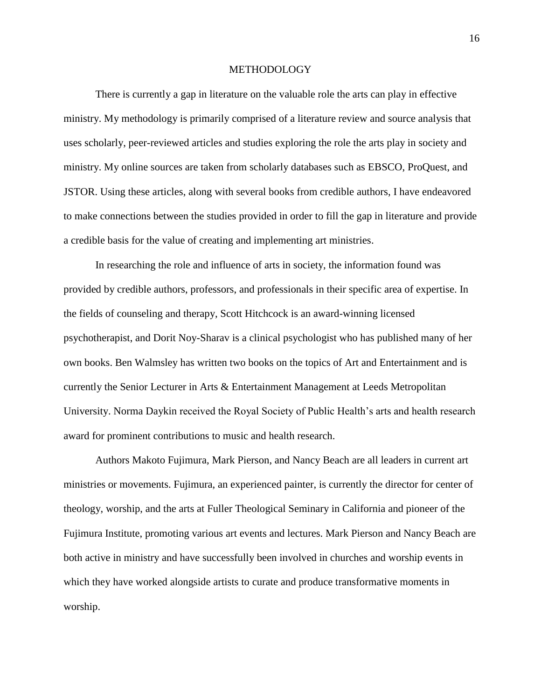#### **METHODOLOGY**

There is currently a gap in literature on the valuable role the arts can play in effective ministry. My methodology is primarily comprised of a literature review and source analysis that uses scholarly, peer-reviewed articles and studies exploring the role the arts play in society and ministry. My online sources are taken from scholarly databases such as EBSCO, ProQuest, and JSTOR. Using these articles, along with several books from credible authors, I have endeavored to make connections between the studies provided in order to fill the gap in literature and provide a credible basis for the value of creating and implementing art ministries.

In researching the role and influence of arts in society, the information found was provided by credible authors, professors, and professionals in their specific area of expertise. In the fields of counseling and therapy, Scott Hitchcock is an award-winning licensed psychotherapist, and Dorit Noy-Sharav is a clinical psychologist who has published many of her own books. Ben Walmsley has written two books on the topics of Art and Entertainment and is currently the Senior Lecturer in Arts & Entertainment Management at Leeds Metropolitan University. Norma Daykin received the Royal Society of Public Health's arts and health research award for prominent contributions to music and health research.

Authors Makoto Fujimura, Mark Pierson, and Nancy Beach are all leaders in current art ministries or movements. Fujimura, an experienced painter, is currently the director for center of theology, worship, and the arts at Fuller Theological Seminary in California and pioneer of the Fujimura Institute, promoting various art events and lectures. Mark Pierson and Nancy Beach are both active in ministry and have successfully been involved in churches and worship events in which they have worked alongside artists to curate and produce transformative moments in worship.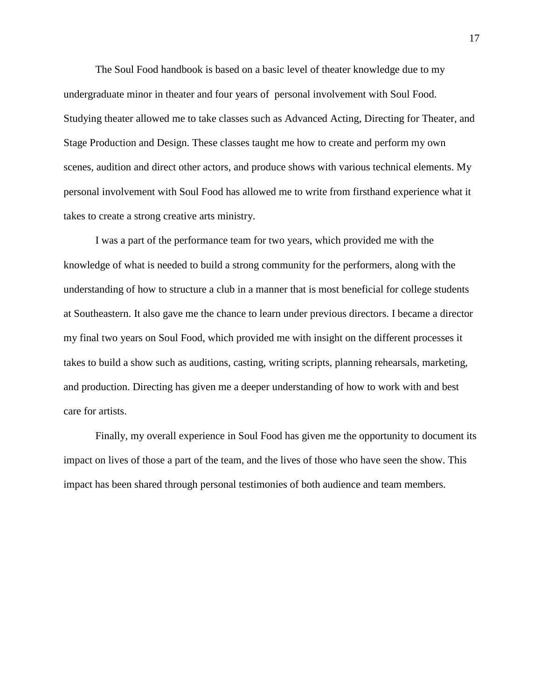The Soul Food handbook is based on a basic level of theater knowledge due to my undergraduate minor in theater and four years of personal involvement with Soul Food. Studying theater allowed me to take classes such as Advanced Acting, Directing for Theater, and Stage Production and Design. These classes taught me how to create and perform my own scenes, audition and direct other actors, and produce shows with various technical elements. My personal involvement with Soul Food has allowed me to write from firsthand experience what it takes to create a strong creative arts ministry.

I was a part of the performance team for two years, which provided me with the knowledge of what is needed to build a strong community for the performers, along with the understanding of how to structure a club in a manner that is most beneficial for college students at Southeastern. It also gave me the chance to learn under previous directors. I became a director my final two years on Soul Food, which provided me with insight on the different processes it takes to build a show such as auditions, casting, writing scripts, planning rehearsals, marketing, and production. Directing has given me a deeper understanding of how to work with and best care for artists.

Finally, my overall experience in Soul Food has given me the opportunity to document its impact on lives of those a part of the team, and the lives of those who have seen the show. This impact has been shared through personal testimonies of both audience and team members.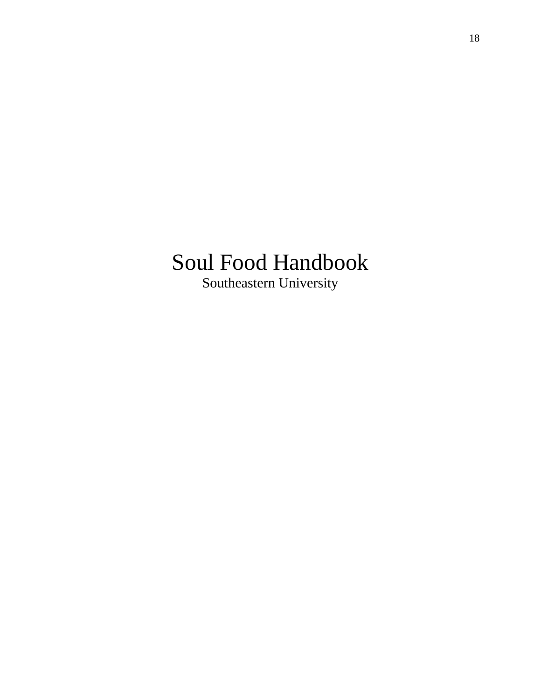# Soul Food Handbook Southeastern University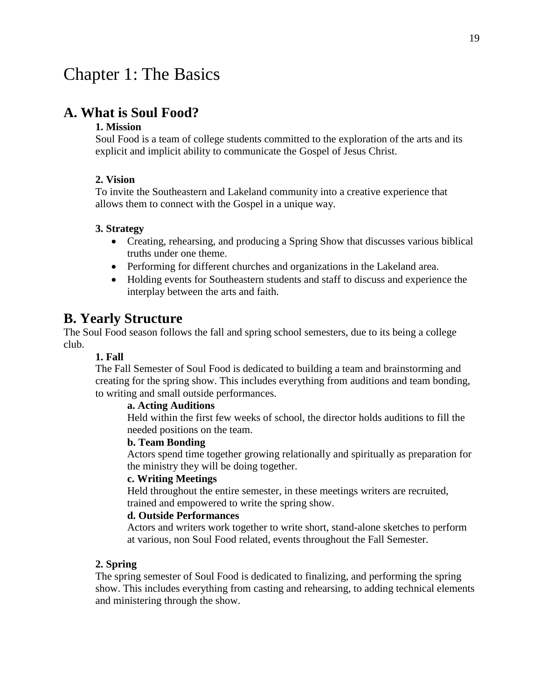# Chapter 1: The Basics

# **A. What is Soul Food?**

#### **1. Mission**

Soul Food is a team of college students committed to the exploration of the arts and its explicit and implicit ability to communicate the Gospel of Jesus Christ.

#### **2. Vision**

To invite the Southeastern and Lakeland community into a creative experience that allows them to connect with the Gospel in a unique way.

#### **3. Strategy**

- Creating, rehearsing, and producing a Spring Show that discusses various biblical truths under one theme.
- Performing for different churches and organizations in the Lakeland area.
- Holding events for Southeastern students and staff to discuss and experience the interplay between the arts and faith.

# **B. Yearly Structure**

The Soul Food season follows the fall and spring school semesters, due to its being a college club.

#### **1. Fall**

The Fall Semester of Soul Food is dedicated to building a team and brainstorming and creating for the spring show. This includes everything from auditions and team bonding, to writing and small outside performances.

#### **a. Acting Auditions**

Held within the first few weeks of school, the director holds auditions to fill the needed positions on the team.

#### **b. Team Bonding**

Actors spend time together growing relationally and spiritually as preparation for the ministry they will be doing together.

#### **c. Writing Meetings**

Held throughout the entire semester, in these meetings writers are recruited, trained and empowered to write the spring show.

#### **d. Outside Performances**

Actors and writers work together to write short, stand-alone sketches to perform at various, non Soul Food related, events throughout the Fall Semester.

#### **2. Spring**

The spring semester of Soul Food is dedicated to finalizing, and performing the spring show. This includes everything from casting and rehearsing, to adding technical elements and ministering through the show.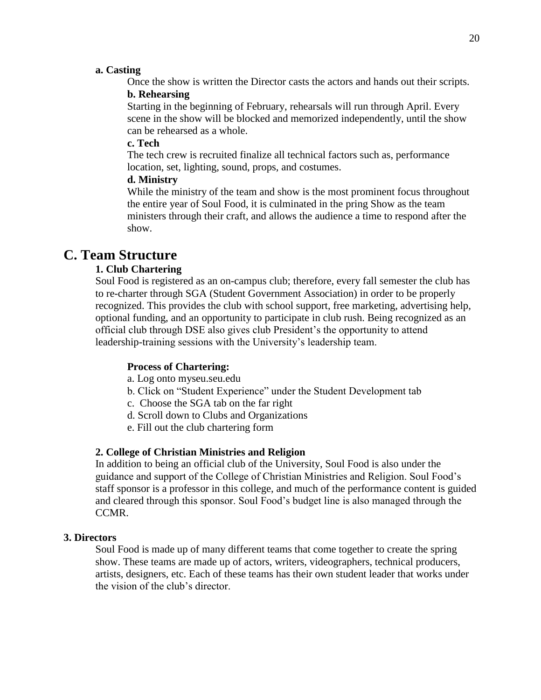#### **a. Casting**

Once the show is written the Director casts the actors and hands out their scripts.

#### **b. Rehearsing**

Starting in the beginning of February, rehearsals will run through April. Every scene in the show will be blocked and memorized independently, until the show can be rehearsed as a whole.

#### **c. Tech**

The tech crew is recruited finalize all technical factors such as, performance location, set, lighting, sound, props, and costumes.

#### **d. Ministry**

While the ministry of the team and show is the most prominent focus throughout the entire year of Soul Food, it is culminated in the pring Show as the team ministers through their craft, and allows the audience a time to respond after the show.

# **C. Team Structure**

#### **1. Club Chartering**

Soul Food is registered as an on-campus club; therefore, every fall semester the club has to re-charter through SGA (Student Government Association) in order to be properly recognized. This provides the club with school support, free marketing, advertising help, optional funding, and an opportunity to participate in club rush. Being recognized as an official club through DSE also gives club President's the opportunity to attend leadership-training sessions with the University's leadership team.

#### **Process of Chartering:**

a. Log onto myseu.seu.edu

- b. Click on "Student Experience" under the Student Development tab
- c. Choose the SGA tab on the far right
- d. Scroll down to Clubs and Organizations
- e. Fill out the club chartering form

#### **2. College of Christian Ministries and Religion**

In addition to being an official club of the University, Soul Food is also under the guidance and support of the College of Christian Ministries and Religion. Soul Food's staff sponsor is a professor in this college, and much of the performance content is guided and cleared through this sponsor. Soul Food's budget line is also managed through the CCMR.

#### **3. Directors**

Soul Food is made up of many different teams that come together to create the spring show. These teams are made up of actors, writers, videographers, technical producers, artists, designers, etc. Each of these teams has their own student leader that works under the vision of the club's director.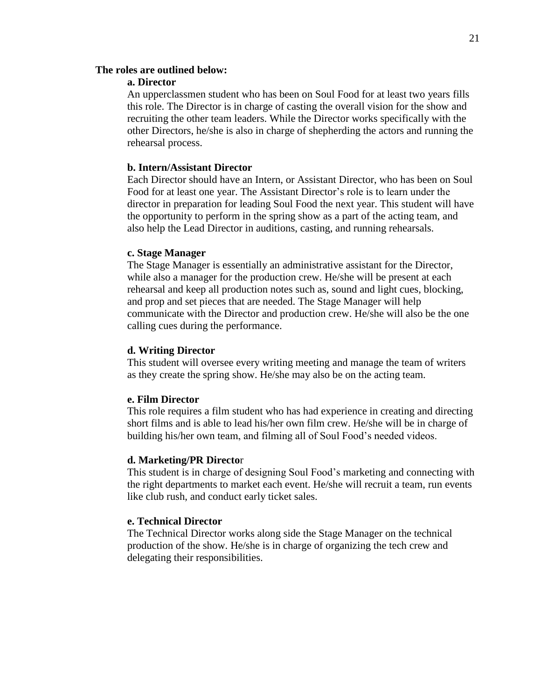#### **The roles are outlined below:**

#### **a. Director**

An upperclassmen student who has been on Soul Food for at least two years fills this role. The Director is in charge of casting the overall vision for the show and recruiting the other team leaders. While the Director works specifically with the other Directors, he/she is also in charge of shepherding the actors and running the rehearsal process.

#### **b. Intern/Assistant Director**

Each Director should have an Intern, or Assistant Director, who has been on Soul Food for at least one year. The Assistant Director's role is to learn under the director in preparation for leading Soul Food the next year. This student will have the opportunity to perform in the spring show as a part of the acting team, and also help the Lead Director in auditions, casting, and running rehearsals.

#### **c. Stage Manager**

The Stage Manager is essentially an administrative assistant for the Director, while also a manager for the production crew. He/she will be present at each rehearsal and keep all production notes such as, sound and light cues, blocking, and prop and set pieces that are needed. The Stage Manager will help communicate with the Director and production crew. He/she will also be the one calling cues during the performance.

#### **d. Writing Director**

This student will oversee every writing meeting and manage the team of writers as they create the spring show. He/she may also be on the acting team.

#### **e. Film Director**

This role requires a film student who has had experience in creating and directing short films and is able to lead his/her own film crew. He/she will be in charge of building his/her own team, and filming all of Soul Food's needed videos.

#### **d. Marketing/PR Directo**r

This student is in charge of designing Soul Food's marketing and connecting with the right departments to market each event. He/she will recruit a team, run events like club rush, and conduct early ticket sales.

#### **e. Technical Director**

The Technical Director works along side the Stage Manager on the technical production of the show. He/she is in charge of organizing the tech crew and delegating their responsibilities.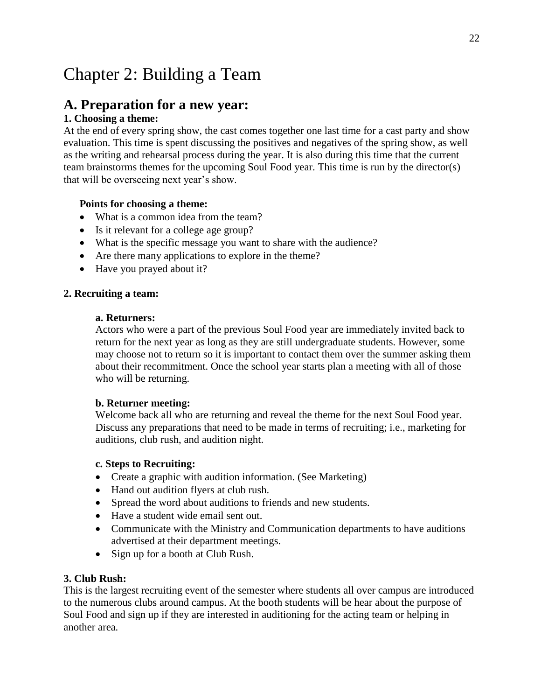# Chapter 2: Building a Team

# **A. Preparation for a new year:**

# **1. Choosing a theme:**

At the end of every spring show, the cast comes together one last time for a cast party and show evaluation. This time is spent discussing the positives and negatives of the spring show, as well as the writing and rehearsal process during the year. It is also during this time that the current team brainstorms themes for the upcoming Soul Food year. This time is run by the director(s) that will be overseeing next year's show.

## **Points for choosing a theme:**

- What is a common idea from the team?
- Is it relevant for a college age group?
- What is the specific message you want to share with the audience?
- Are there many applications to explore in the theme?
- Have you prayed about it?

#### **2. Recruiting a team:**

#### **a. Returners:**

Actors who were a part of the previous Soul Food year are immediately invited back to return for the next year as long as they are still undergraduate students. However, some may choose not to return so it is important to contact them over the summer asking them about their recommitment. Once the school year starts plan a meeting with all of those who will be returning.

#### **b. Returner meeting:**

Welcome back all who are returning and reveal the theme for the next Soul Food year. Discuss any preparations that need to be made in terms of recruiting; i.e., marketing for auditions, club rush, and audition night.

#### **c. Steps to Recruiting:**

- Create a graphic with audition information. (See Marketing)
- Hand out audition flyers at club rush.
- Spread the word about auditions to friends and new students.
- Have a student wide email sent out.
- Communicate with the Ministry and Communication departments to have auditions advertised at their department meetings.
- Sign up for a booth at Club Rush.

#### **3. Club Rush:**

This is the largest recruiting event of the semester where students all over campus are introduced to the numerous clubs around campus. At the booth students will be hear about the purpose of Soul Food and sign up if they are interested in auditioning for the acting team or helping in another area.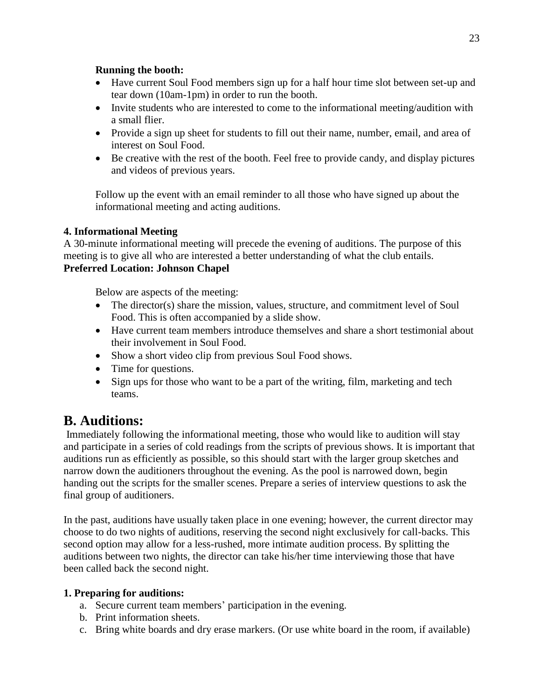### **Running the booth:**

- Have current Soul Food members sign up for a half hour time slot between set-up and tear down (10am-1pm) in order to run the booth.
- Invite students who are interested to come to the informational meeting/audition with a small flier.
- Provide a sign up sheet for students to fill out their name, number, email, and area of interest on Soul Food.
- Be creative with the rest of the booth. Feel free to provide candy, and display pictures and videos of previous years.

Follow up the event with an email reminder to all those who have signed up about the informational meeting and acting auditions.

## **4. Informational Meeting**

A 30-minute informational meeting will precede the evening of auditions. The purpose of this meeting is to give all who are interested a better understanding of what the club entails.

## **Preferred Location: Johnson Chapel**

Below are aspects of the meeting:

- The director(s) share the mission, values, structure, and commitment level of Soul Food. This is often accompanied by a slide show.
- Have current team members introduce themselves and share a short testimonial about their involvement in Soul Food.
- Show a short video clip from previous Soul Food shows.
- Time for questions.
- Sign ups for those who want to be a part of the writing, film, marketing and tech teams.

# **B. Auditions:**

Immediately following the informational meeting, those who would like to audition will stay and participate in a series of cold readings from the scripts of previous shows. It is important that auditions run as efficiently as possible, so this should start with the larger group sketches and narrow down the auditioners throughout the evening. As the pool is narrowed down, begin handing out the scripts for the smaller scenes. Prepare a series of interview questions to ask the final group of auditioners.

In the past, auditions have usually taken place in one evening; however, the current director may choose to do two nights of auditions, reserving the second night exclusively for call-backs. This second option may allow for a less-rushed, more intimate audition process. By splitting the auditions between two nights, the director can take his/her time interviewing those that have been called back the second night.

## **1. Preparing for auditions:**

- a. Secure current team members' participation in the evening.
- b. Print information sheets.
- c. Bring white boards and dry erase markers. (Or use white board in the room, if available)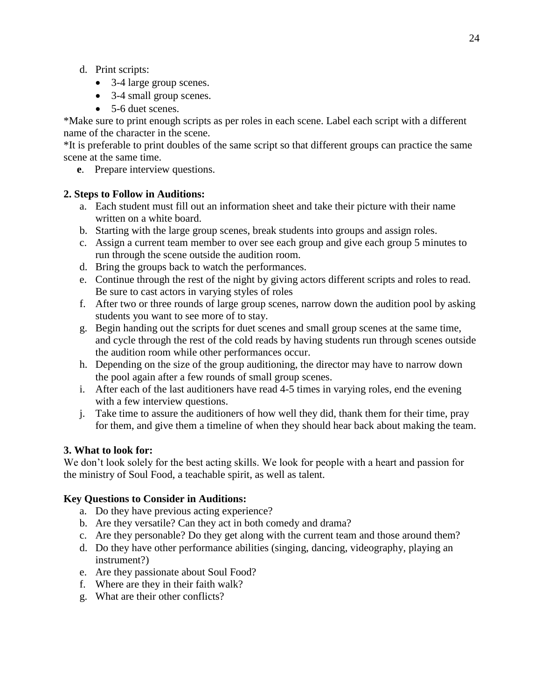- d. Print scripts:
	- 3-4 large group scenes.
	- 3-4 small group scenes.
	- 5-6 duet scenes.

\*Make sure to print enough scripts as per roles in each scene. Label each script with a different name of the character in the scene.

\*It is preferable to print doubles of the same script so that different groups can practice the same scene at the same time.

 **e**. Prepare interview questions.

### **2. Steps to Follow in Auditions:**

- a. Each student must fill out an information sheet and take their picture with their name written on a white board.
- b. Starting with the large group scenes, break students into groups and assign roles.
- c. Assign a current team member to over see each group and give each group 5 minutes to run through the scene outside the audition room.
- d. Bring the groups back to watch the performances.
- e. Continue through the rest of the night by giving actors different scripts and roles to read. Be sure to cast actors in varying styles of roles
- f. After two or three rounds of large group scenes, narrow down the audition pool by asking students you want to see more of to stay.
- g. Begin handing out the scripts for duet scenes and small group scenes at the same time, and cycle through the rest of the cold reads by having students run through scenes outside the audition room while other performances occur.
- h. Depending on the size of the group auditioning, the director may have to narrow down the pool again after a few rounds of small group scenes.
- i. After each of the last auditioners have read 4-5 times in varying roles, end the evening with a few interview questions.
- j. Take time to assure the auditioners of how well they did, thank them for their time, pray for them, and give them a timeline of when they should hear back about making the team.

#### **3. What to look for:**

We don't look solely for the best acting skills. We look for people with a heart and passion for the ministry of Soul Food, a teachable spirit, as well as talent.

#### **Key Questions to Consider in Auditions:**

- a. Do they have previous acting experience?
- b. Are they versatile? Can they act in both comedy and drama?
- c. Are they personable? Do they get along with the current team and those around them?
- d. Do they have other performance abilities (singing, dancing, videography, playing an instrument?)
- e. Are they passionate about Soul Food?
- f. Where are they in their faith walk?
- g. What are their other conflicts?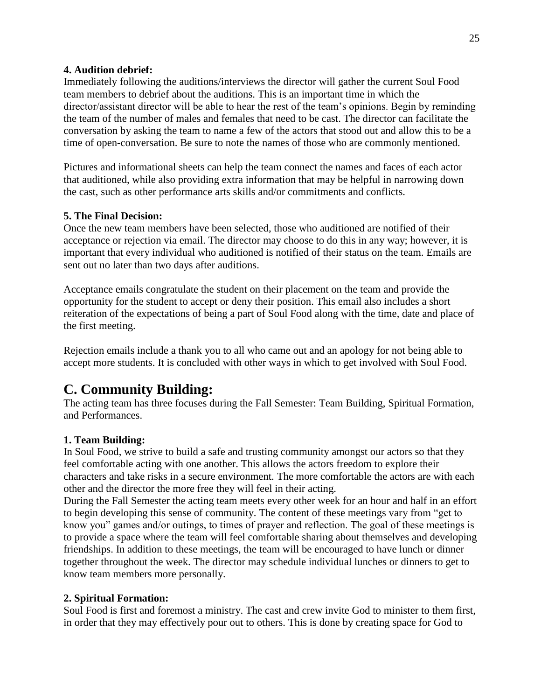#### **4. Audition debrief:**

Immediately following the auditions/interviews the director will gather the current Soul Food team members to debrief about the auditions. This is an important time in which the director/assistant director will be able to hear the rest of the team's opinions. Begin by reminding the team of the number of males and females that need to be cast. The director can facilitate the conversation by asking the team to name a few of the actors that stood out and allow this to be a time of open-conversation. Be sure to note the names of those who are commonly mentioned.

Pictures and informational sheets can help the team connect the names and faces of each actor that auditioned, while also providing extra information that may be helpful in narrowing down the cast, such as other performance arts skills and/or commitments and conflicts.

#### **5. The Final Decision:**

Once the new team members have been selected, those who auditioned are notified of their acceptance or rejection via email. The director may choose to do this in any way; however, it is important that every individual who auditioned is notified of their status on the team. Emails are sent out no later than two days after auditions.

Acceptance emails congratulate the student on their placement on the team and provide the opportunity for the student to accept or deny their position. This email also includes a short reiteration of the expectations of being a part of Soul Food along with the time, date and place of the first meeting.

Rejection emails include a thank you to all who came out and an apology for not being able to accept more students. It is concluded with other ways in which to get involved with Soul Food.

# **C. Community Building:**

The acting team has three focuses during the Fall Semester: Team Building, Spiritual Formation, and Performances.

#### **1. Team Building:**

In Soul Food, we strive to build a safe and trusting community amongst our actors so that they feel comfortable acting with one another. This allows the actors freedom to explore their characters and take risks in a secure environment. The more comfortable the actors are with each other and the director the more free they will feel in their acting.

During the Fall Semester the acting team meets every other week for an hour and half in an effort to begin developing this sense of community. The content of these meetings vary from "get to know you" games and/or outings, to times of prayer and reflection. The goal of these meetings is to provide a space where the team will feel comfortable sharing about themselves and developing friendships. In addition to these meetings, the team will be encouraged to have lunch or dinner together throughout the week. The director may schedule individual lunches or dinners to get to know team members more personally.

#### **2. Spiritual Formation:**

Soul Food is first and foremost a ministry. The cast and crew invite God to minister to them first, in order that they may effectively pour out to others. This is done by creating space for God to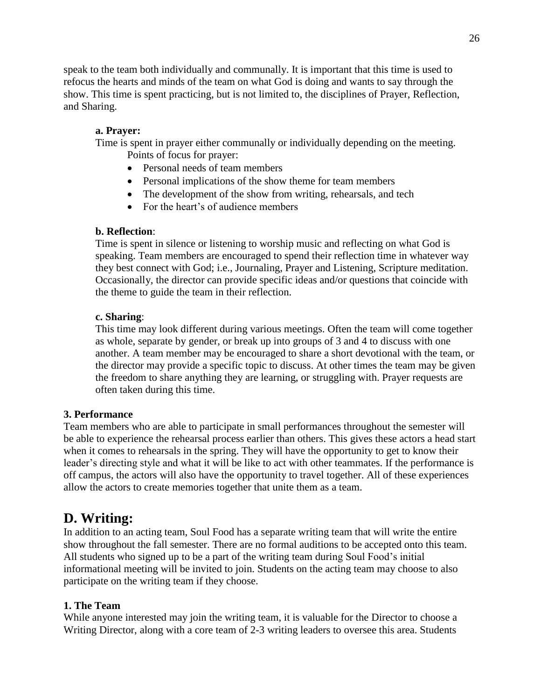speak to the team both individually and communally. It is important that this time is used to refocus the hearts and minds of the team on what God is doing and wants to say through the show. This time is spent practicing, but is not limited to, the disciplines of Prayer, Reflection, and Sharing.

### **a. Prayer:**

Time is spent in prayer either communally or individually depending on the meeting. Points of focus for prayer:

- Personal needs of team members
- Personal implications of the show theme for team members
- The development of the show from writing, rehearsals, and tech
- For the heart's of audience members

### **b. Reflection**:

Time is spent in silence or listening to worship music and reflecting on what God is speaking. Team members are encouraged to spend their reflection time in whatever way they best connect with God; i.e., Journaling, Prayer and Listening, Scripture meditation. Occasionally, the director can provide specific ideas and/or questions that coincide with the theme to guide the team in their reflection.

#### **c. Sharing**:

This time may look different during various meetings. Often the team will come together as whole, separate by gender, or break up into groups of 3 and 4 to discuss with one another. A team member may be encouraged to share a short devotional with the team, or the director may provide a specific topic to discuss. At other times the team may be given the freedom to share anything they are learning, or struggling with. Prayer requests are often taken during this time.

## **3. Performance**

Team members who are able to participate in small performances throughout the semester will be able to experience the rehearsal process earlier than others. This gives these actors a head start when it comes to rehearsals in the spring. They will have the opportunity to get to know their leader's directing style and what it will be like to act with other teammates. If the performance is off campus, the actors will also have the opportunity to travel together. All of these experiences allow the actors to create memories together that unite them as a team.

# **D. Writing:**

In addition to an acting team, Soul Food has a separate writing team that will write the entire show throughout the fall semester. There are no formal auditions to be accepted onto this team. All students who signed up to be a part of the writing team during Soul Food's initial informational meeting will be invited to join. Students on the acting team may choose to also participate on the writing team if they choose.

## **1. The Team**

While anyone interested may join the writing team, it is valuable for the Director to choose a Writing Director, along with a core team of 2-3 writing leaders to oversee this area. Students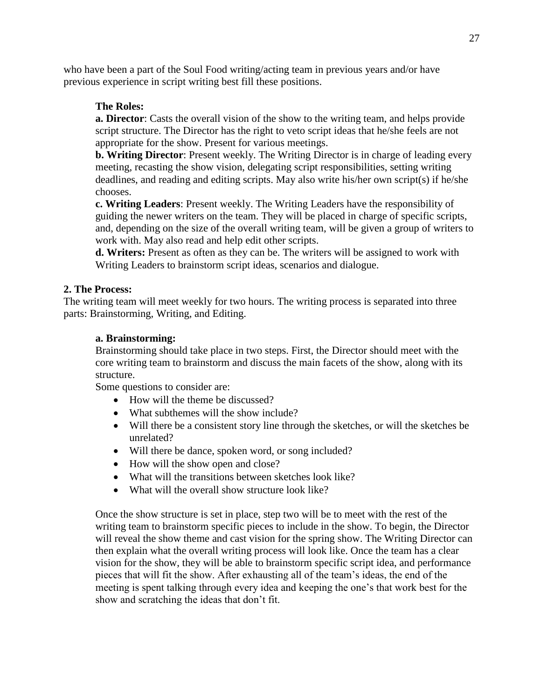who have been a part of the Soul Food writing/acting team in previous years and/or have previous experience in script writing best fill these positions.

### **The Roles:**

**a. Director**: Casts the overall vision of the show to the writing team, and helps provide script structure. The Director has the right to veto script ideas that he/she feels are not appropriate for the show. Present for various meetings.

**b. Writing Director**: Present weekly. The Writing Director is in charge of leading every meeting, recasting the show vision, delegating script responsibilities, setting writing deadlines, and reading and editing scripts. May also write his/her own script(s) if he/she chooses.

**c. Writing Leaders**: Present weekly. The Writing Leaders have the responsibility of guiding the newer writers on the team. They will be placed in charge of specific scripts, and, depending on the size of the overall writing team, will be given a group of writers to work with. May also read and help edit other scripts.

**d. Writers:** Present as often as they can be. The writers will be assigned to work with Writing Leaders to brainstorm script ideas, scenarios and dialogue.

#### **2. The Process:**

The writing team will meet weekly for two hours. The writing process is separated into three parts: Brainstorming, Writing, and Editing.

#### **a. Brainstorming:**

Brainstorming should take place in two steps. First, the Director should meet with the core writing team to brainstorm and discuss the main facets of the show, along with its structure.

Some questions to consider are:

- How will the theme be discussed?
- What subthemes will the show include?
- Will there be a consistent story line through the sketches, or will the sketches be unrelated?
- Will there be dance, spoken word, or song included?
- How will the show open and close?
- What will the transitions between sketches look like?
- What will the overall show structure look like?

Once the show structure is set in place, step two will be to meet with the rest of the writing team to brainstorm specific pieces to include in the show. To begin, the Director will reveal the show theme and cast vision for the spring show. The Writing Director can then explain what the overall writing process will look like. Once the team has a clear vision for the show, they will be able to brainstorm specific script idea, and performance pieces that will fit the show. After exhausting all of the team's ideas, the end of the meeting is spent talking through every idea and keeping the one's that work best for the show and scratching the ideas that don't fit.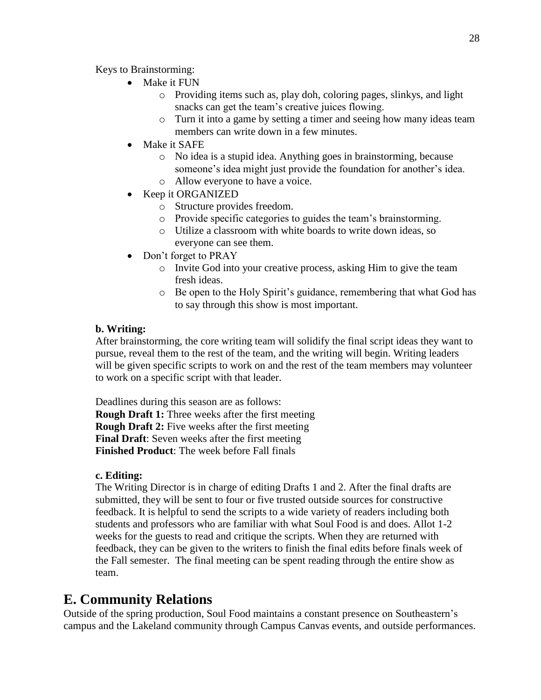Keys to Brainstorming:

- Make it FUN
	- o Providing items such as, play doh, coloring pages, slinkys, and light snacks can get the team's creative juices flowing.
	- o Turn it into a game by setting a timer and seeing how many ideas team members can write down in a few minutes.
- Make it SAFE
	- o No idea is a stupid idea. Anything goes in brainstorming, because someone's idea might just provide the foundation for another's idea.
	- o Allow everyone to have a voice.
- Keep it ORGANIZED
	- o Structure provides freedom.
	- o Provide specific categories to guides the team's brainstorming.
	- o Utilize a classroom with white boards to write down ideas, so everyone can see them.
- Don't forget to PRAY
	- o Invite God into your creative process, asking Him to give the team fresh ideas.
	- o Be open to the Holy Spirit's guidance, remembering that what God has to say through this show is most important.

### **b. Writing:**

After brainstorming, the core writing team will solidify the final script ideas they want to pursue, reveal them to the rest of the team, and the writing will begin. Writing leaders will be given specific scripts to work on and the rest of the team members may volunteer to work on a specific script with that leader.

Deadlines during this season are as follows: **Rough Draft 1:** Three weeks after the first meeting **Rough Draft 2:** Five weeks after the first meeting **Final Draft**: Seven weeks after the first meeting **Finished Product**: The week before Fall finals

#### **c. Editing:**

The Writing Director is in charge of editing Drafts 1 and 2. After the final drafts are submitted, they will be sent to four or five trusted outside sources for constructive feedback. It is helpful to send the scripts to a wide variety of readers including both students and professors who are familiar with what Soul Food is and does. Allot 1-2 weeks for the guests to read and critique the scripts. When they are returned with feedback, they can be given to the writers to finish the final edits before finals week of the Fall semester. The final meeting can be spent reading through the entire show as team.

# **E. Community Relations**

Outside of the spring production, Soul Food maintains a constant presence on Southeastern's campus and the Lakeland community through Campus Canvas events, and outside performances.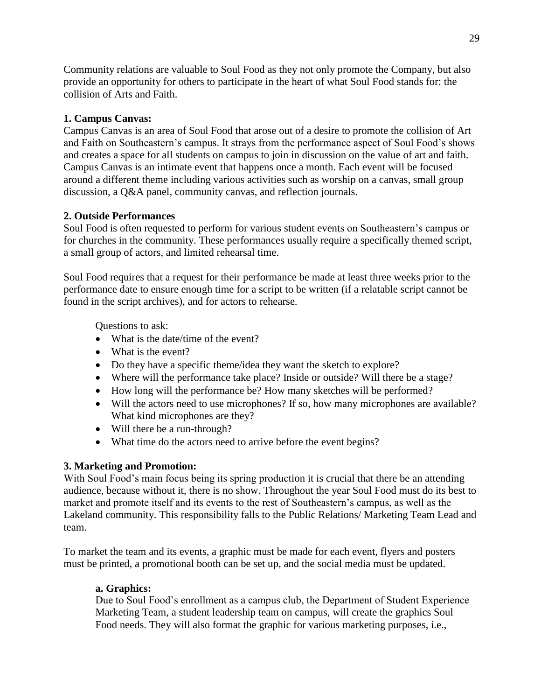Community relations are valuable to Soul Food as they not only promote the Company, but also provide an opportunity for others to participate in the heart of what Soul Food stands for: the collision of Arts and Faith.

### **1. Campus Canvas:**

Campus Canvas is an area of Soul Food that arose out of a desire to promote the collision of Art and Faith on Southeastern's campus. It strays from the performance aspect of Soul Food's shows and creates a space for all students on campus to join in discussion on the value of art and faith. Campus Canvas is an intimate event that happens once a month. Each event will be focused around a different theme including various activities such as worship on a canvas, small group discussion, a Q&A panel, community canvas, and reflection journals.

### **2. Outside Performances**

Soul Food is often requested to perform for various student events on Southeastern's campus or for churches in the community. These performances usually require a specifically themed script, a small group of actors, and limited rehearsal time.

Soul Food requires that a request for their performance be made at least three weeks prior to the performance date to ensure enough time for a script to be written (if a relatable script cannot be found in the script archives), and for actors to rehearse.

Questions to ask:

- What is the date/time of the event?
- What is the event?
- Do they have a specific theme/idea they want the sketch to explore?
- Where will the performance take place? Inside or outside? Will there be a stage?
- How long will the performance be? How many sketches will be performed?
- Will the actors need to use microphones? If so, how many microphones are available? What kind microphones are they?
- Will there be a run-through?
- What time do the actors need to arrive before the event begins?

#### **3. Marketing and Promotion:**

With Soul Food's main focus being its spring production it is crucial that there be an attending audience, because without it, there is no show. Throughout the year Soul Food must do its best to market and promote itself and its events to the rest of Southeastern's campus, as well as the Lakeland community. This responsibility falls to the Public Relations/ Marketing Team Lead and team.

To market the team and its events, a graphic must be made for each event, flyers and posters must be printed, a promotional booth can be set up, and the social media must be updated.

## **a. Graphics:**

Due to Soul Food's enrollment as a campus club, the Department of Student Experience Marketing Team, a student leadership team on campus, will create the graphics Soul Food needs. They will also format the graphic for various marketing purposes, i.e.,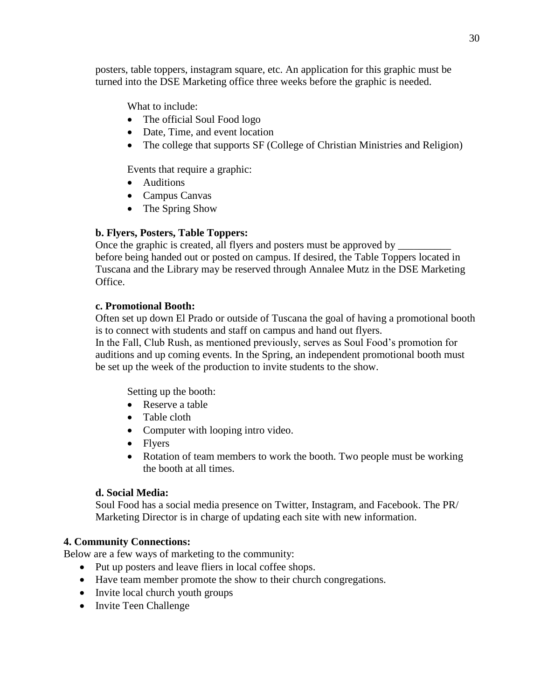posters, table toppers, instagram square, etc. An application for this graphic must be turned into the DSE Marketing office three weeks before the graphic is needed.

What to include:

- The official Soul Food logo
- Date, Time, and event location
- The college that supports SF (College of Christian Ministries and Religion)

Events that require a graphic:

- Auditions
- Campus Canvas
- The Spring Show

# **b. Flyers, Posters, Table Toppers:**

Once the graphic is created, all flyers and posters must be approved by before being handed out or posted on campus. If desired, the Table Toppers located in Tuscana and the Library may be reserved through Annalee Mutz in the DSE Marketing Office.

### **c. Promotional Booth:**

Often set up down El Prado or outside of Tuscana the goal of having a promotional booth is to connect with students and staff on campus and hand out flyers.

In the Fall, Club Rush, as mentioned previously, serves as Soul Food's promotion for auditions and up coming events. In the Spring, an independent promotional booth must be set up the week of the production to invite students to the show.

Setting up the booth:

- Reserve a table
- Table cloth
- Computer with looping intro video.
- Flvers
- Rotation of team members to work the booth. Two people must be working the booth at all times.

## **d. Social Media:**

Soul Food has a social media presence on Twitter, Instagram, and Facebook. The PR/ Marketing Director is in charge of updating each site with new information.

## **4. Community Connections:**

Below are a few ways of marketing to the community:

- Put up posters and leave fliers in local coffee shops.
- Have team member promote the show to their church congregations.
- Invite local church youth groups
- Invite Teen Challenge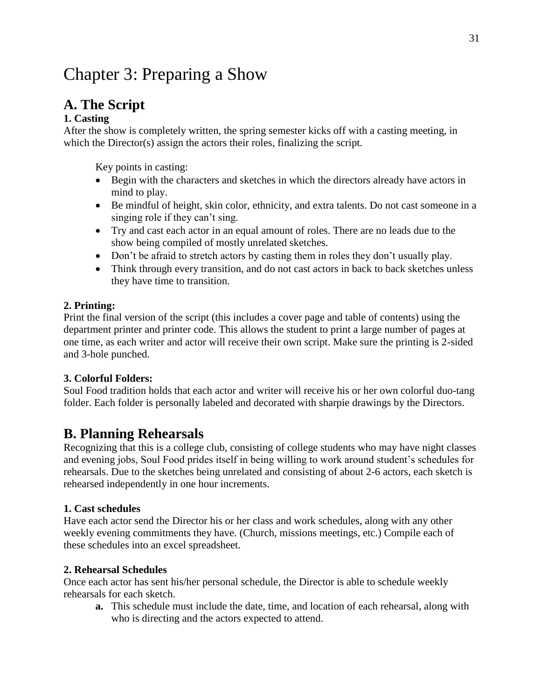# Chapter 3: Preparing a Show

# **A. The Script**

### **1. Casting**

After the show is completely written, the spring semester kicks off with a casting meeting, in which the Director(s) assign the actors their roles, finalizing the script.

Key points in casting:

- Begin with the characters and sketches in which the directors already have actors in mind to play.
- Be mindful of height, skin color, ethnicity, and extra talents. Do not cast someone in a singing role if they can't sing.
- Try and cast each actor in an equal amount of roles. There are no leads due to the show being compiled of mostly unrelated sketches.
- Don't be afraid to stretch actors by casting them in roles they don't usually play.
- Think through every transition, and do not cast actors in back to back sketches unless they have time to transition.

#### **2. Printing:**

Print the final version of the script (this includes a cover page and table of contents) using the department printer and printer code. This allows the student to print a large number of pages at one time, as each writer and actor will receive their own script. Make sure the printing is 2-sided and 3-hole punched.

#### **3. Colorful Folders:**

Soul Food tradition holds that each actor and writer will receive his or her own colorful duo-tang folder. Each folder is personally labeled and decorated with sharpie drawings by the Directors.

# **B. Planning Rehearsals**

Recognizing that this is a college club, consisting of college students who may have night classes and evening jobs, Soul Food prides itself in being willing to work around student's schedules for rehearsals. Due to the sketches being unrelated and consisting of about 2-6 actors, each sketch is rehearsed independently in one hour increments.

#### **1. Cast schedules**

Have each actor send the Director his or her class and work schedules, along with any other weekly evening commitments they have. (Church, missions meetings, etc.) Compile each of these schedules into an excel spreadsheet.

#### **2. Rehearsal Schedules**

Once each actor has sent his/her personal schedule, the Director is able to schedule weekly rehearsals for each sketch.

**a.** This schedule must include the date, time, and location of each rehearsal, along with who is directing and the actors expected to attend.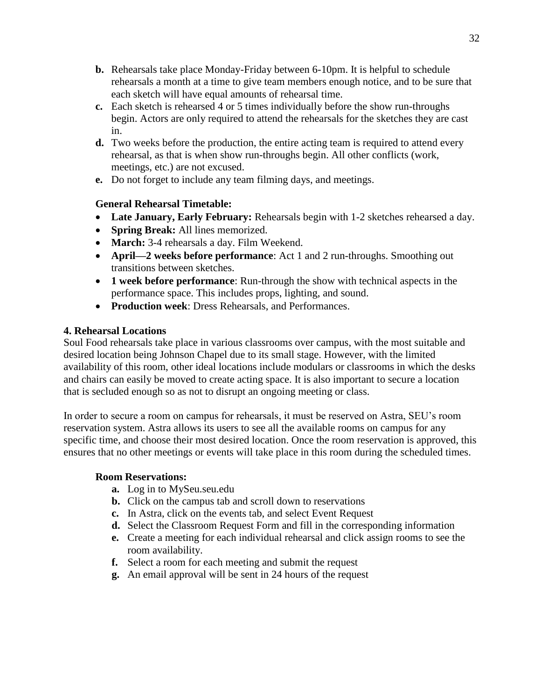- **b.** Rehearsals take place Monday-Friday between 6-10pm. It is helpful to schedule rehearsals a month at a time to give team members enough notice, and to be sure that each sketch will have equal amounts of rehearsal time.
- **c.** Each sketch is rehearsed 4 or 5 times individually before the show run-throughs begin. Actors are only required to attend the rehearsals for the sketches they are cast in.
- **d.** Two weeks before the production, the entire acting team is required to attend every rehearsal, as that is when show run-throughs begin. All other conflicts (work, meetings, etc.) are not excused.
- **e.** Do not forget to include any team filming days, and meetings.

## **General Rehearsal Timetable:**

- **Late January, Early February:** Rehearsals begin with 1-2 sketches rehearsed a day.
- **Spring Break:** All lines memorized.
- **March:** 3-4 rehearsals a day. Film Weekend.
- **April—2 weeks before performance**: Act 1 and 2 run-throughs. Smoothing out transitions between sketches.
- **1 week before performance**: Run-through the show with technical aspects in the performance space. This includes props, lighting, and sound.
- **Production week**: Dress Rehearsals, and Performances.

## **4. Rehearsal Locations**

Soul Food rehearsals take place in various classrooms over campus, with the most suitable and desired location being Johnson Chapel due to its small stage. However, with the limited availability of this room, other ideal locations include modulars or classrooms in which the desks and chairs can easily be moved to create acting space. It is also important to secure a location that is secluded enough so as not to disrupt an ongoing meeting or class.

In order to secure a room on campus for rehearsals, it must be reserved on Astra, SEU's room reservation system. Astra allows its users to see all the available rooms on campus for any specific time, and choose their most desired location. Once the room reservation is approved, this ensures that no other meetings or events will take place in this room during the scheduled times.

## **Room Reservations:**

- **a.** Log in to MySeu.seu.edu
- **b.** Click on the campus tab and scroll down to reservations
- **c.** In Astra, click on the events tab, and select Event Request
- **d.** Select the Classroom Request Form and fill in the corresponding information
- **e.** Create a meeting for each individual rehearsal and click assign rooms to see the room availability.
- **f.** Select a room for each meeting and submit the request
- **g.** An email approval will be sent in 24 hours of the request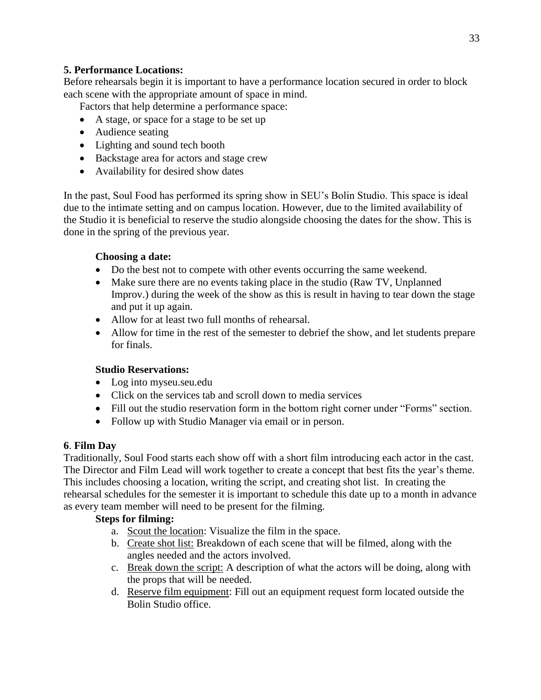## **5. Performance Locations:**

Before rehearsals begin it is important to have a performance location secured in order to block each scene with the appropriate amount of space in mind.

Factors that help determine a performance space:

- A stage, or space for a stage to be set up
- Audience seating
- Lighting and sound tech booth
- Backstage area for actors and stage crew
- Availability for desired show dates

In the past, Soul Food has performed its spring show in SEU's Bolin Studio. This space is ideal due to the intimate setting and on campus location. However, due to the limited availability of the Studio it is beneficial to reserve the studio alongside choosing the dates for the show. This is done in the spring of the previous year.

#### **Choosing a date:**

- Do the best not to compete with other events occurring the same weekend.
- Make sure there are no events taking place in the studio (Raw TV, Unplanned Improv.) during the week of the show as this is result in having to tear down the stage and put it up again.
- Allow for at least two full months of rehearsal.
- Allow for time in the rest of the semester to debrief the show, and let students prepare for finals.

#### **Studio Reservations:**

- Log into myseu.seu.edu
- Click on the services tab and scroll down to media services
- Fill out the studio reservation form in the bottom right corner under "Forms" section.
- Follow up with Studio Manager via email or in person.

#### **6**. **Film Day**

Traditionally, Soul Food starts each show off with a short film introducing each actor in the cast. The Director and Film Lead will work together to create a concept that best fits the year's theme. This includes choosing a location, writing the script, and creating shot list. In creating the rehearsal schedules for the semester it is important to schedule this date up to a month in advance as every team member will need to be present for the filming.

#### **Steps for filming:**

- a. Scout the location: Visualize the film in the space.
- b. Create shot list: Breakdown of each scene that will be filmed, along with the angles needed and the actors involved.
- c. Break down the script: A description of what the actors will be doing, along with the props that will be needed.
- d. Reserve film equipment: Fill out an equipment request form located outside the Bolin Studio office.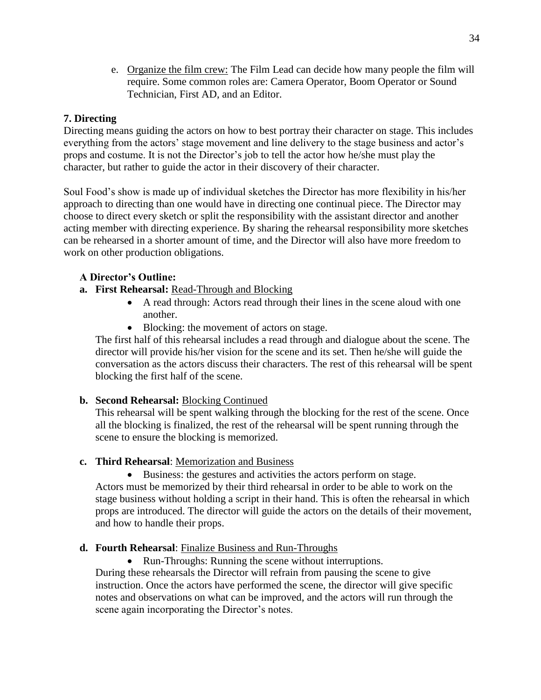e. Organize the film crew: The Film Lead can decide how many people the film will require. Some common roles are: Camera Operator, Boom Operator or Sound Technician, First AD, and an Editor.

# **7. Directing**

Directing means guiding the actors on how to best portray their character on stage. This includes everything from the actors' stage movement and line delivery to the stage business and actor's props and costume. It is not the Director's job to tell the actor how he/she must play the character, but rather to guide the actor in their discovery of their character.

Soul Food's show is made up of individual sketches the Director has more flexibility in his/her approach to directing than one would have in directing one continual piece. The Director may choose to direct every sketch or split the responsibility with the assistant director and another acting member with directing experience. By sharing the rehearsal responsibility more sketches can be rehearsed in a shorter amount of time, and the Director will also have more freedom to work on other production obligations.

## **A Director's Outline:**

- **a. First Rehearsal:** Read-Through and Blocking
	- A read through: Actors read through their lines in the scene aloud with one another.
	- Blocking: the movement of actors on stage.

The first half of this rehearsal includes a read through and dialogue about the scene. The director will provide his/her vision for the scene and its set. Then he/she will guide the conversation as the actors discuss their characters. The rest of this rehearsal will be spent blocking the first half of the scene.

## **b. Second Rehearsal:** Blocking Continued

This rehearsal will be spent walking through the blocking for the rest of the scene. Once all the blocking is finalized, the rest of the rehearsal will be spent running through the scene to ensure the blocking is memorized.

- **c. Third Rehearsal**: Memorization and Business
	- Business: the gestures and activities the actors perform on stage.

Actors must be memorized by their third rehearsal in order to be able to work on the stage business without holding a script in their hand. This is often the rehearsal in which props are introduced. The director will guide the actors on the details of their movement, and how to handle their props.

#### **d. Fourth Rehearsal**: Finalize Business and Run-Throughs

• Run-Throughs: Running the scene without interruptions.

During these rehearsals the Director will refrain from pausing the scene to give instruction. Once the actors have performed the scene, the director will give specific notes and observations on what can be improved, and the actors will run through the scene again incorporating the Director's notes.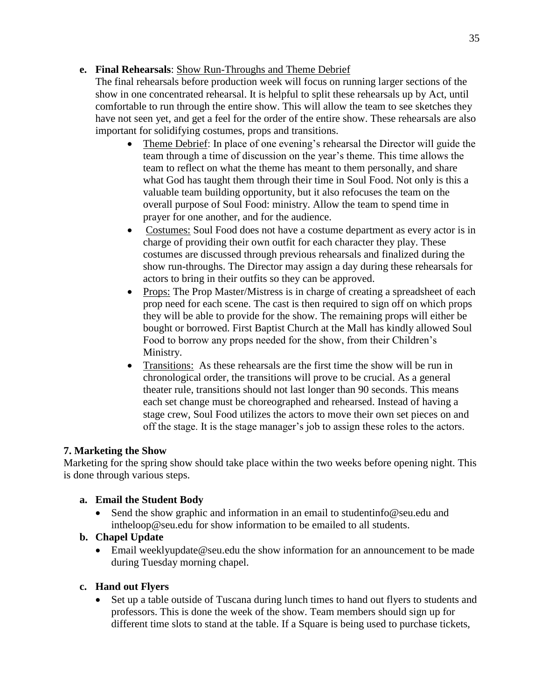## **e. Final Rehearsals**: Show Run-Throughs and Theme Debrief

The final rehearsals before production week will focus on running larger sections of the show in one concentrated rehearsal. It is helpful to split these rehearsals up by Act, until comfortable to run through the entire show. This will allow the team to see sketches they have not seen yet, and get a feel for the order of the entire show. These rehearsals are also important for solidifying costumes, props and transitions.

- Theme Debrief: In place of one evening's rehearsal the Director will guide the team through a time of discussion on the year's theme. This time allows the team to reflect on what the theme has meant to them personally, and share what God has taught them through their time in Soul Food. Not only is this a valuable team building opportunity, but it also refocuses the team on the overall purpose of Soul Food: ministry. Allow the team to spend time in prayer for one another, and for the audience.
- Costumes: Soul Food does not have a costume department as every actor is in charge of providing their own outfit for each character they play. These costumes are discussed through previous rehearsals and finalized during the show run-throughs. The Director may assign a day during these rehearsals for actors to bring in their outfits so they can be approved.
- Props: The Prop Master/Mistress is in charge of creating a spreadsheet of each prop need for each scene. The cast is then required to sign off on which props they will be able to provide for the show. The remaining props will either be bought or borrowed. First Baptist Church at the Mall has kindly allowed Soul Food to borrow any props needed for the show, from their Children's Ministry.
- Transitions: As these rehearsals are the first time the show will be run in chronological order, the transitions will prove to be crucial. As a general theater rule, transitions should not last longer than 90 seconds. This means each set change must be choreographed and rehearsed. Instead of having a stage crew, Soul Food utilizes the actors to move their own set pieces on and off the stage. It is the stage manager's job to assign these roles to the actors.

# **7. Marketing the Show**

Marketing for the spring show should take place within the two weeks before opening night. This is done through various steps.

# **a. Email the Student Body**

• Send the show graphic and information in an email to studentinfo@seu.edu and intheloop@seu.edu for show information to be emailed to all students.

# **b. Chapel Update**

 Email weeklyupdate@seu.edu the show information for an announcement to be made during Tuesday morning chapel.

# **c. Hand out Flyers**

 Set up a table outside of Tuscana during lunch times to hand out flyers to students and professors. This is done the week of the show. Team members should sign up for different time slots to stand at the table. If a Square is being used to purchase tickets,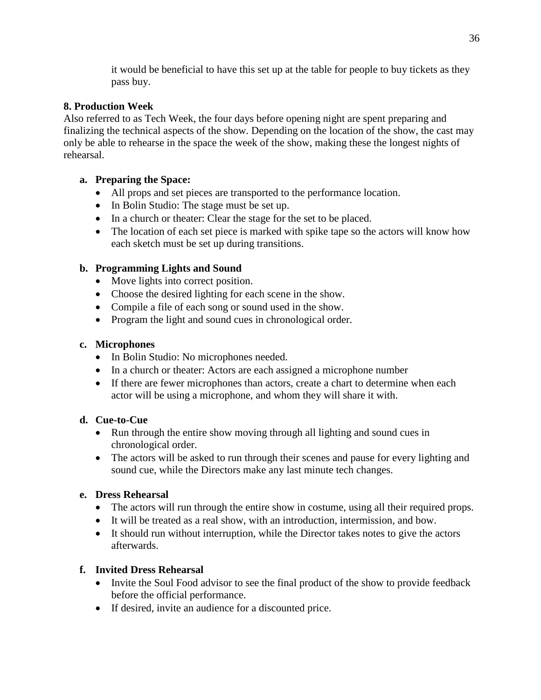it would be beneficial to have this set up at the table for people to buy tickets as they pass buy.

# **8. Production Week**

Also referred to as Tech Week, the four days before opening night are spent preparing and finalizing the technical aspects of the show. Depending on the location of the show, the cast may only be able to rehearse in the space the week of the show, making these the longest nights of rehearsal.

# **a. Preparing the Space:**

- All props and set pieces are transported to the performance location.
- In Bolin Studio: The stage must be set up.
- In a church or theater: Clear the stage for the set to be placed.
- The location of each set piece is marked with spike tape so the actors will know how each sketch must be set up during transitions.

# **b. Programming Lights and Sound**

- Move lights into correct position.
- Choose the desired lighting for each scene in the show.
- Compile a file of each song or sound used in the show.
- Program the light and sound cues in chronological order.

# **c. Microphones**

- In Bolin Studio: No microphones needed.
- In a church or theater: Actors are each assigned a microphone number
- If there are fewer microphones than actors, create a chart to determine when each actor will be using a microphone, and whom they will share it with.

# **d. Cue-to-Cue**

- Run through the entire show moving through all lighting and sound cues in chronological order.
- The actors will be asked to run through their scenes and pause for every lighting and sound cue, while the Directors make any last minute tech changes.

# **e. Dress Rehearsal**

- The actors will run through the entire show in costume, using all their required props.
- It will be treated as a real show, with an introduction, intermission, and bow.
- It should run without interruption, while the Director takes notes to give the actors afterwards.

# **f. Invited Dress Rehearsal**

- Invite the Soul Food advisor to see the final product of the show to provide feedback before the official performance.
- If desired, invite an audience for a discounted price.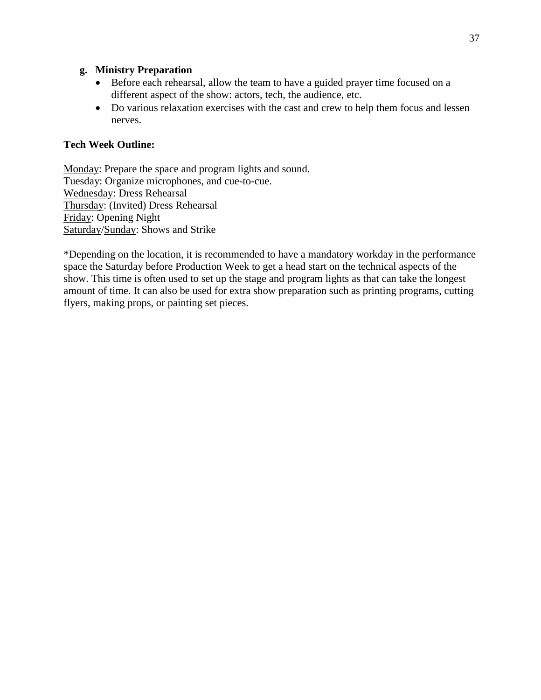#### **g. Ministry Preparation**

- Before each rehearsal, allow the team to have a guided prayer time focused on a different aspect of the show: actors, tech, the audience, etc.
- Do various relaxation exercises with the cast and crew to help them focus and lessen nerves.

#### **Tech Week Outline:**

Monday: Prepare the space and program lights and sound. Tuesday: Organize microphones, and cue-to-cue. Wednesday: Dress Rehearsal Thursday: (Invited) Dress Rehearsal Friday: Opening Night Saturday/Sunday: Shows and Strike

\*Depending on the location, it is recommended to have a mandatory workday in the performance space the Saturday before Production Week to get a head start on the technical aspects of the show. This time is often used to set up the stage and program lights as that can take the longest amount of time. It can also be used for extra show preparation such as printing programs, cutting flyers, making props, or painting set pieces.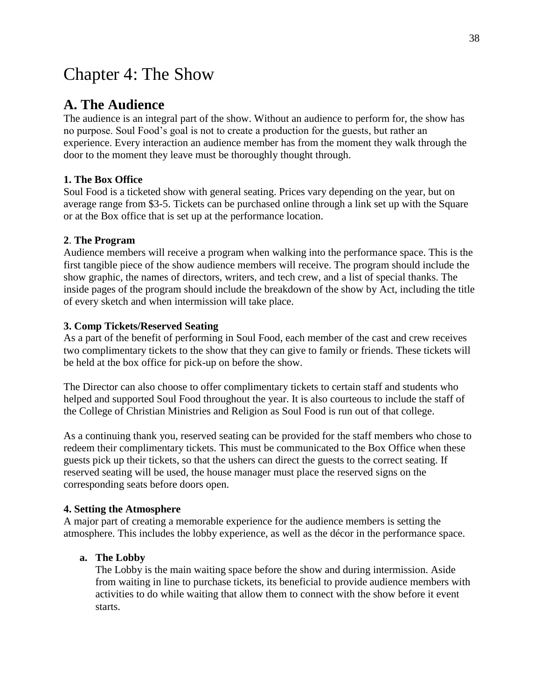# Chapter 4: The Show

# **A. The Audience**

The audience is an integral part of the show. Without an audience to perform for, the show has no purpose. Soul Food's goal is not to create a production for the guests, but rather an experience. Every interaction an audience member has from the moment they walk through the door to the moment they leave must be thoroughly thought through.

#### **1. The Box Office**

Soul Food is a ticketed show with general seating. Prices vary depending on the year, but on average range from \$3-5. Tickets can be purchased online through a link set up with the Square or at the Box office that is set up at the performance location.

#### **2**. **The Program**

Audience members will receive a program when walking into the performance space. This is the first tangible piece of the show audience members will receive. The program should include the show graphic, the names of directors, writers, and tech crew, and a list of special thanks. The inside pages of the program should include the breakdown of the show by Act, including the title of every sketch and when intermission will take place.

#### **3. Comp Tickets/Reserved Seating**

As a part of the benefit of performing in Soul Food, each member of the cast and crew receives two complimentary tickets to the show that they can give to family or friends. These tickets will be held at the box office for pick-up on before the show.

The Director can also choose to offer complimentary tickets to certain staff and students who helped and supported Soul Food throughout the year. It is also courteous to include the staff of the College of Christian Ministries and Religion as Soul Food is run out of that college.

As a continuing thank you, reserved seating can be provided for the staff members who chose to redeem their complimentary tickets. This must be communicated to the Box Office when these guests pick up their tickets, so that the ushers can direct the guests to the correct seating. If reserved seating will be used, the house manager must place the reserved signs on the corresponding seats before doors open.

#### **4. Setting the Atmosphere**

A major part of creating a memorable experience for the audience members is setting the atmosphere. This includes the lobby experience, as well as the décor in the performance space.

#### **a. The Lobby**

The Lobby is the main waiting space before the show and during intermission. Aside from waiting in line to purchase tickets, its beneficial to provide audience members with activities to do while waiting that allow them to connect with the show before it event starts.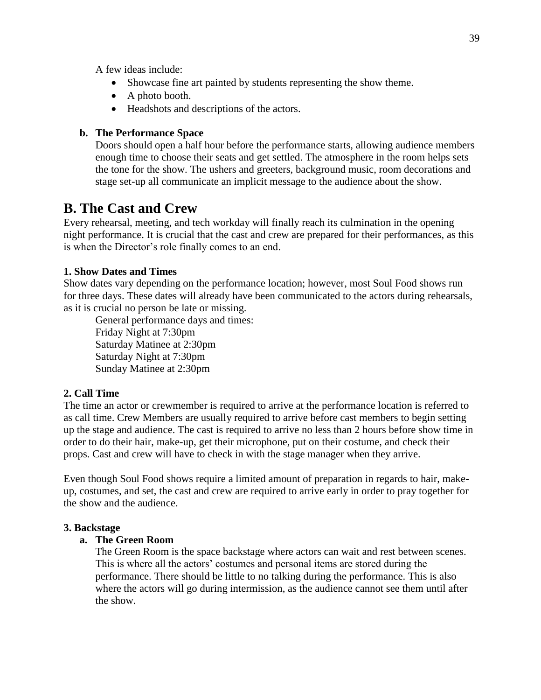A few ideas include:

- Showcase fine art painted by students representing the show theme.
- A photo booth.
- Headshots and descriptions of the actors.

#### **b. The Performance Space**

Doors should open a half hour before the performance starts, allowing audience members enough time to choose their seats and get settled. The atmosphere in the room helps sets the tone for the show. The ushers and greeters, background music, room decorations and stage set-up all communicate an implicit message to the audience about the show.

# **B. The Cast and Crew**

Every rehearsal, meeting, and tech workday will finally reach its culmination in the opening night performance. It is crucial that the cast and crew are prepared for their performances, as this is when the Director's role finally comes to an end.

#### **1. Show Dates and Times**

Show dates vary depending on the performance location; however, most Soul Food shows run for three days. These dates will already have been communicated to the actors during rehearsals, as it is crucial no person be late or missing.

General performance days and times: Friday Night at 7:30pm Saturday Matinee at 2:30pm Saturday Night at 7:30pm Sunday Matinee at 2:30pm

## **2. Call Time**

The time an actor or crewmember is required to arrive at the performance location is referred to as call time. Crew Members are usually required to arrive before cast members to begin setting up the stage and audience. The cast is required to arrive no less than 2 hours before show time in order to do their hair, make-up, get their microphone, put on their costume, and check their props. Cast and crew will have to check in with the stage manager when they arrive.

Even though Soul Food shows require a limited amount of preparation in regards to hair, makeup, costumes, and set, the cast and crew are required to arrive early in order to pray together for the show and the audience.

#### **3. Backstage**

#### **a. The Green Room**

The Green Room is the space backstage where actors can wait and rest between scenes. This is where all the actors' costumes and personal items are stored during the performance. There should be little to no talking during the performance. This is also where the actors will go during intermission, as the audience cannot see them until after the show.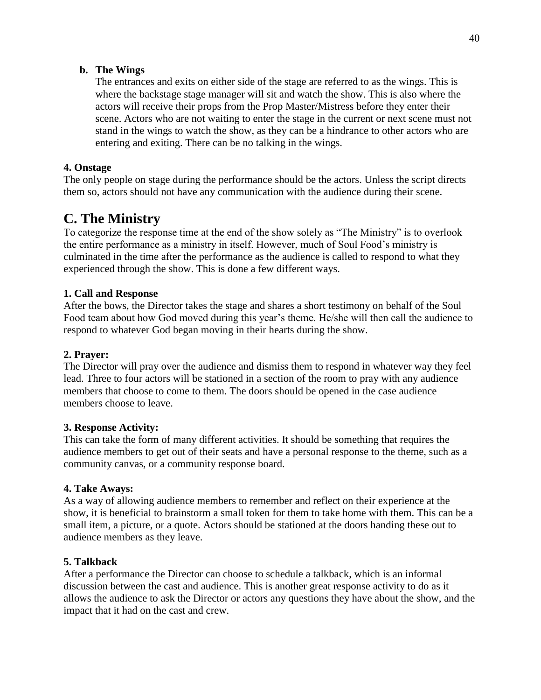### **b. The Wings**

The entrances and exits on either side of the stage are referred to as the wings. This is where the backstage stage manager will sit and watch the show. This is also where the actors will receive their props from the Prop Master/Mistress before they enter their scene. Actors who are not waiting to enter the stage in the current or next scene must not stand in the wings to watch the show, as they can be a hindrance to other actors who are entering and exiting. There can be no talking in the wings.

### **4. Onstage**

The only people on stage during the performance should be the actors. Unless the script directs them so, actors should not have any communication with the audience during their scene.

# **C. The Ministry**

To categorize the response time at the end of the show solely as "The Ministry" is to overlook the entire performance as a ministry in itself. However, much of Soul Food's ministry is culminated in the time after the performance as the audience is called to respond to what they experienced through the show. This is done a few different ways.

#### **1. Call and Response**

After the bows, the Director takes the stage and shares a short testimony on behalf of the Soul Food team about how God moved during this year's theme. He/she will then call the audience to respond to whatever God began moving in their hearts during the show.

### **2. Prayer:**

The Director will pray over the audience and dismiss them to respond in whatever way they feel lead. Three to four actors will be stationed in a section of the room to pray with any audience members that choose to come to them. The doors should be opened in the case audience members choose to leave.

#### **3. Response Activity:**

This can take the form of many different activities. It should be something that requires the audience members to get out of their seats and have a personal response to the theme, such as a community canvas, or a community response board.

#### **4. Take Aways:**

As a way of allowing audience members to remember and reflect on their experience at the show, it is beneficial to brainstorm a small token for them to take home with them. This can be a small item, a picture, or a quote. Actors should be stationed at the doors handing these out to audience members as they leave.

#### **5. Talkback**

After a performance the Director can choose to schedule a talkback, which is an informal discussion between the cast and audience. This is another great response activity to do as it allows the audience to ask the Director or actors any questions they have about the show, and the impact that it had on the cast and crew.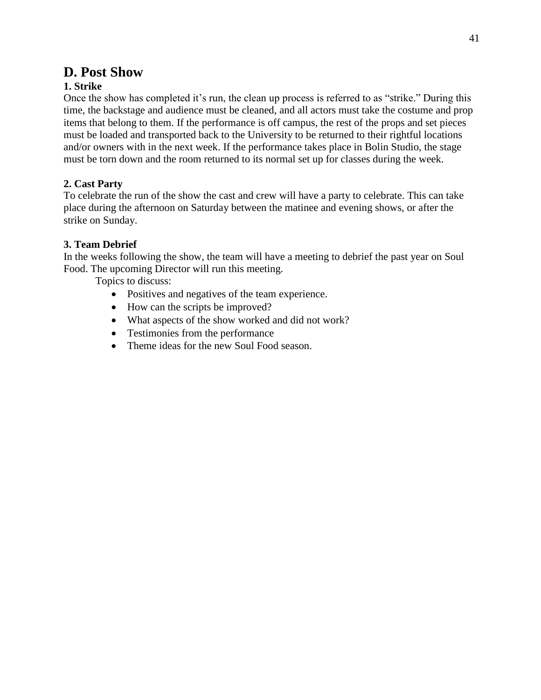# **D. Post Show**

# **1. Strike**

Once the show has completed it's run, the clean up process is referred to as "strike." During this time, the backstage and audience must be cleaned, and all actors must take the costume and prop items that belong to them. If the performance is off campus, the rest of the props and set pieces must be loaded and transported back to the University to be returned to their rightful locations and/or owners with in the next week. If the performance takes place in Bolin Studio, the stage must be torn down and the room returned to its normal set up for classes during the week.

# **2. Cast Party**

To celebrate the run of the show the cast and crew will have a party to celebrate. This can take place during the afternoon on Saturday between the matinee and evening shows, or after the strike on Sunday.

## **3. Team Debrief**

In the weeks following the show, the team will have a meeting to debrief the past year on Soul Food. The upcoming Director will run this meeting.

Topics to discuss:

- Positives and negatives of the team experience.
- How can the scripts be improved?
- What aspects of the show worked and did not work?
- Testimonies from the performance
- Theme ideas for the new Soul Food season.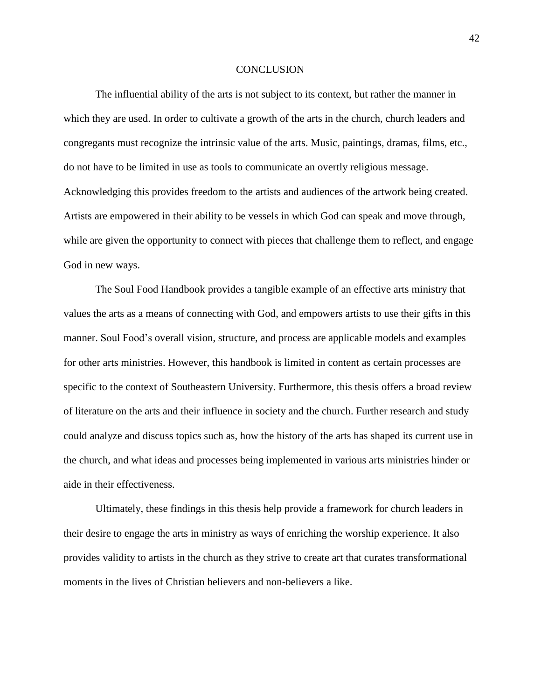#### **CONCLUSION**

The influential ability of the arts is not subject to its context, but rather the manner in which they are used. In order to cultivate a growth of the arts in the church, church leaders and congregants must recognize the intrinsic value of the arts. Music, paintings, dramas, films, etc., do not have to be limited in use as tools to communicate an overtly religious message. Acknowledging this provides freedom to the artists and audiences of the artwork being created. Artists are empowered in their ability to be vessels in which God can speak and move through, while are given the opportunity to connect with pieces that challenge them to reflect, and engage God in new ways.

The Soul Food Handbook provides a tangible example of an effective arts ministry that values the arts as a means of connecting with God, and empowers artists to use their gifts in this manner. Soul Food's overall vision, structure, and process are applicable models and examples for other arts ministries. However, this handbook is limited in content as certain processes are specific to the context of Southeastern University. Furthermore, this thesis offers a broad review of literature on the arts and their influence in society and the church. Further research and study could analyze and discuss topics such as, how the history of the arts has shaped its current use in the church, and what ideas and processes being implemented in various arts ministries hinder or aide in their effectiveness.

Ultimately, these findings in this thesis help provide a framework for church leaders in their desire to engage the arts in ministry as ways of enriching the worship experience. It also provides validity to artists in the church as they strive to create art that curates transformational moments in the lives of Christian believers and non-believers a like.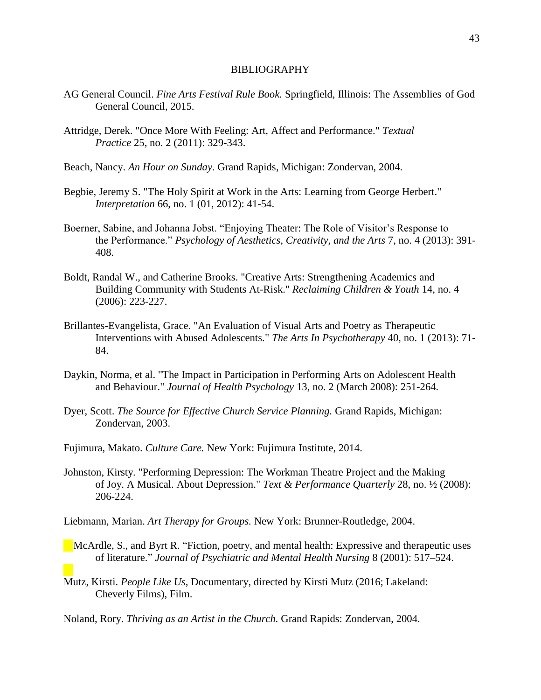#### BIBLIOGRAPHY

- AG General Council. *Fine Arts Festival Rule Book.* Springfield, Illinois: The Assemblies of God General Council, 2015.
- Attridge, Derek. "Once More With Feeling: Art, Affect and Performance." *Textual Practice* 25, no. 2 (2011): 329-343.
- Beach, Nancy. *An Hour on Sunday.* Grand Rapids, Michigan: Zondervan, 2004.
- Begbie, Jeremy S. "The Holy Spirit at Work in the Arts: Learning from George Herbert." *Interpretation* 66, no. 1 (01, 2012): 41-54.
- Boerner, Sabine, and Johanna Jobst. "Enjoying Theater: The Role of Visitor's Response to the Performance." *Psychology of Aesthetics, Creativity, and the Arts* 7, no. 4 (2013): 391- 408.
- Boldt, Randal W., and Catherine Brooks. "Creative Arts: Strengthening Academics and Building Community with Students At-Risk." *Reclaiming Children & Youth* 14, no. 4 (2006): 223-227.
- Brillantes-Evangelista, Grace. "An Evaluation of Visual Arts and Poetry as Therapeutic Interventions with Abused Adolescents." *The Arts In Psychotherapy* 40, no. 1 (2013): 71- 84.
- Daykin, Norma, et al. "The Impact in Participation in Performing Arts on Adolescent Health and Behaviour." *Journal of Health Psychology* 13, no. 2 (March 2008): 251-264.
- Dyer, Scott. *The Source for Effective Church Service Planning.* Grand Rapids, Michigan: Zondervan, 2003.
- Fujimura, Makato. *Culture Care.* New York: Fujimura Institute, 2014.
- Johnston, Kirsty. "Performing Depression: The Workman Theatre Project and the Making of Joy. A Musical. About Depression." *Text & Performance Quarterly* 28, no. ½ (2008): 206-224.
- Liebmann, Marian. *Art Therapy for Groups.* New York: Brunner-Routledge, 2004.
- McArdle, S., and Byrt R. "Fiction, poetry, and mental health: Expressive and therapeutic uses of literature." *Journal of Psychiatric and Mental Health Nursing* 8 (2001): 517–524.
- Mutz, Kirsti. *People Like Us,* Documentary, directed by Kirsti Mutz (2016; Lakeland: Cheverly Films), Film.
- Noland, Rory. *Thriving as an Artist in the Church.* Grand Rapids: Zondervan, 2004.